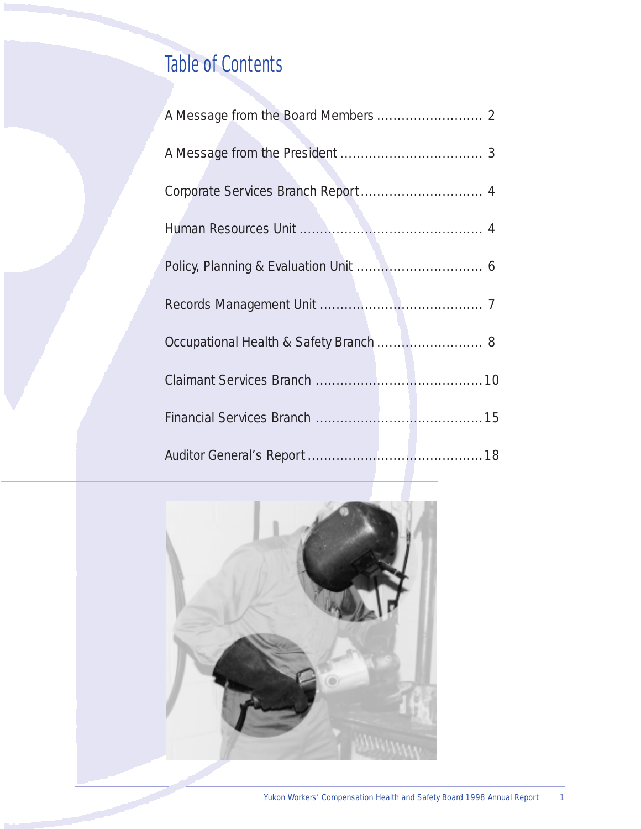# Table of Contents

| Occupational Health & Safety Branch  8 |
|----------------------------------------|
|                                        |
|                                        |
|                                        |

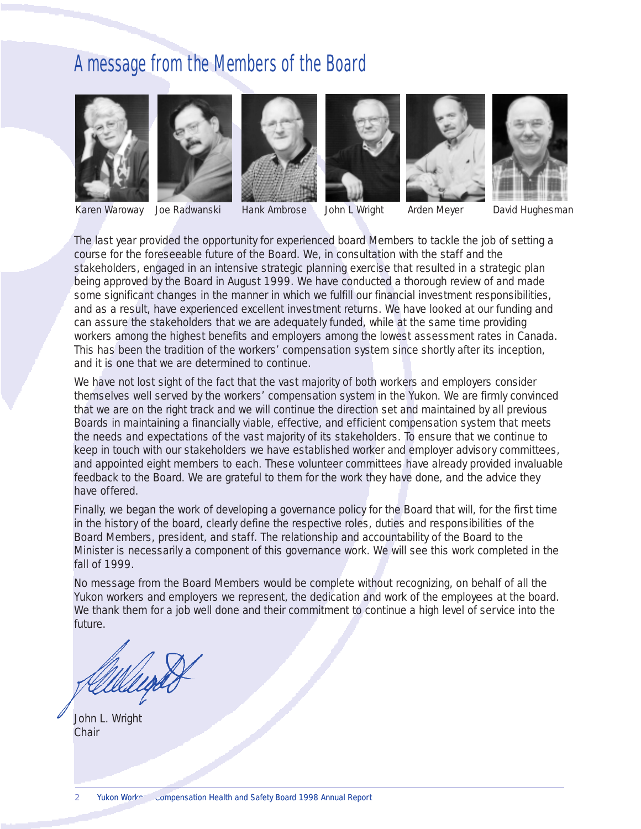# A message from the Members of the Board













Joe Radwanski

Karen Waroway Joe Radwanski Hank Ambrose John L Wright Arden Meyer David Hughesman

The last year provided the opportunity for experienced board Members to tackle the job of setting a course for the foreseeable future of the Board. We, in consultation with the staff and the stakeholders, engaged in an intensive strategic planning exercise that resulted in a strategic plan being approved by the Board in August 1999. We have conducted a thorough review of and made some significant changes in the manner in which we fulfill our financial investment responsibilities, and as a result, have experienced excellent investment returns. We have looked at our funding and can assure the stakeholders that we are adequately funded, while at the same time providing workers among the highest benefits and employers among the lowest assessment rates in Canada. This has been the tradition of the workers' compensation system since shortly after its inception, and it is one that we are determined to continue.

We have not lost sight of the fact that the vast majority of both workers and employers consider themselves well served by the workers' compensation system in the Yukon. We are firmly convinced that we are on the right track and we will continue the direction set and maintained by all previous Boards in maintaining a financially viable, effective, and efficient compensation system that meets the needs and expectations of the vast majority of its stakeholders. To ensure that we continue to keep in touch with our stakeholders we have established worker and employer advisory committees, and appointed eight members to each. These volunteer committees have already provided invaluable feedback to the Board. We are grateful to them for the work they have done, and the advice they have offered.

Finally, we began the work of developing a governance policy for the Board that will, for the first time in the history of the board, clearly define the respective roles, duties and responsibilities of the Board Members, president, and staff. The relationship and accountability of the Board to the Minister is necessarily a component of this governance work. We will see this work completed in the fall of 1999.

No message from the Board Members would be complete without recognizing, on behalf of all the Yukon workers and employers we represent, the dedication and work of the employees at the board. We thank them for a job well done and their commitment to continue a high level of service into the future.

John L. Wright **Chair**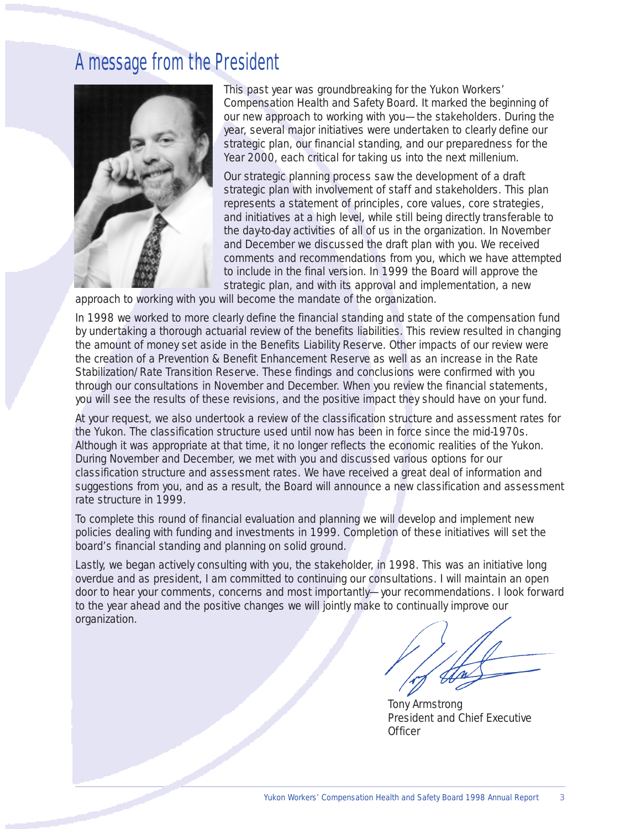# A message from the President



This past year was groundbreaking for the Yukon Workers' Compensation Health and Safety Board. It marked the beginning of our new approach to working with you—the stakeholders. During the year, several major initiatives were undertaken to clearly define our strategic plan, our financial standing, and our preparedness for the Year 2000, each critical for taking us into the next millenium.

Our strategic planning process saw the development of a draft strategic plan with involvement of staff and stakeholders. This plan represents a statement of principles, core values, core strategies, and initiatives at a high level, while still being directly transferable to the day-to-day activities of all of us in the organization. In November and December we discussed the draft plan with you. We received comments and recommendations from you, which we have attempted to include in the final version. In 1999 the Board will approve the strategic plan, and with its approval and implementation, a new

approach to working with you will become the mandate of the organization.

In 1998 we worked to more clearly define the financial standing and state of the compensation fund by undertaking a thorough actuarial review of the benefits liabilities. This review resulted in changing the amount of money set aside in the Benefits Liability Reserve. Other impacts of our review were the creation of a Prevention & Benefit Enhancement Reserve as well as an increase in the Rate Stabilization/Rate Transition Reserve. These findings and conclusions were confirmed with you through our consultations in November and December. When you review the financial statements, you will see the results of these revisions, and the positive impact they should have on your fund.

At your request, we also undertook a review of the classification structure and assessment rates for the Yukon. The classification structure used until now has been in force since the mid-1970s. Although it was appropriate at that time, it no longer reflects the economic realities of the Yukon. During November and December, we met with you and discussed various options for our classification structure and assessment rates. We have received a great deal of information and suggestions from you, and as a result, the Board will announce a new classification and assessment rate structure in 1999.

To complete this round of financial evaluation and planning we will develop and implement new policies dealing with funding and investments in 1999. Completion of these initiatives will set the board's financial standing and planning on solid ground.

Lastly, we began actively consulting with you, the stakeholder, in 1998. This was an initiative long overdue and as president, I am committed to continuing our consultations. I will maintain an open door to hear your comments, concerns and most importantly—your recommendations. I look forward to the year ahead and the positive changes we will jointly make to continually improve our organization.

Tony Armstrong President and Chief Executive **Officer**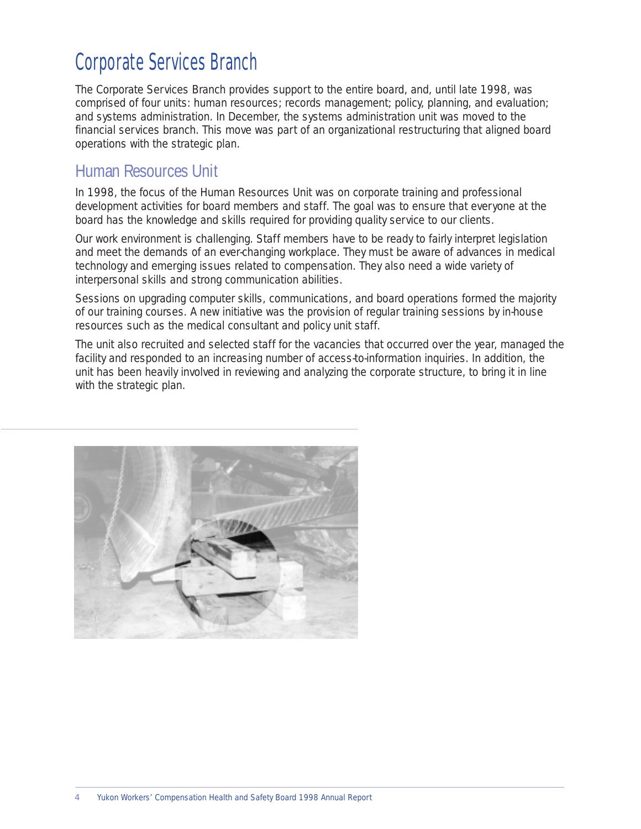# Corporate Services Branch

The Corporate Services Branch provides support to the entire board, and, until late 1998, was comprised of four units: human resources; records management; policy, planning, and evaluation; and systems administration. In December, the systems administration unit was moved to the financial services branch. This move was part of an organizational restructuring that aligned board operations with the strategic plan.

### Human Resources Unit

In 1998, the focus of the Human Resources Unit was on corporate training and professional development activities for board members and staff. The goal was to ensure that everyone at the board has the knowledge and skills required for providing quality service to our clients.

Our work environment is challenging. Staff members have to be ready to fairly interpret legislation and meet the demands of an ever-changing workplace. They must be aware of advances in medical technology and emerging issues related to compensation. They also need a wide variety of interpersonal skills and strong communication abilities.

Sessions on upgrading computer skills, communications, and board operations formed the majority of our training courses. A new initiative was the provision of regular training sessions by in-house resources such as the medical consultant and policy unit staff.

The unit also recruited and selected staff for the vacancies that occurred over the year, managed the facility and responded to an increasing number of access-to-information inquiries. In addition, the unit has been heavily involved in reviewing and analyzing the corporate structure, to bring it in line with the strategic plan.

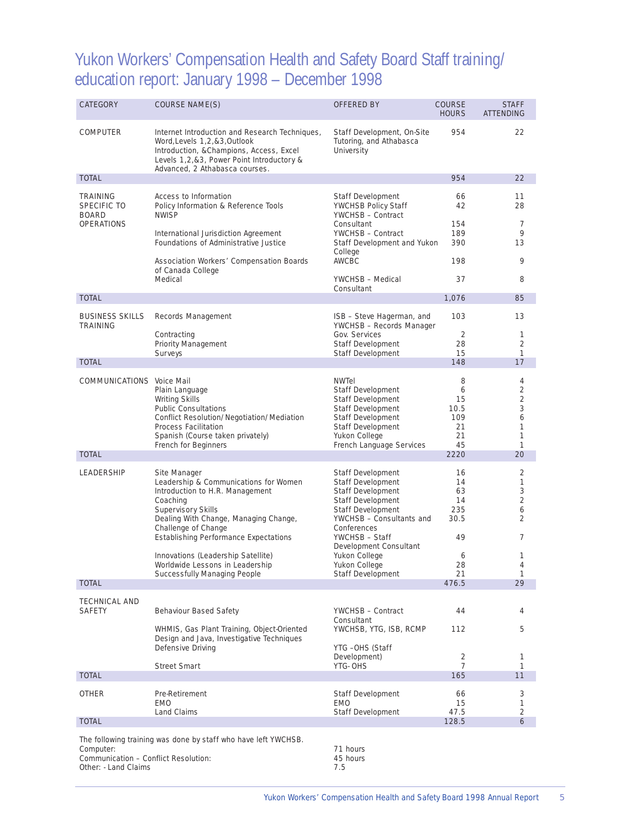### Yukon Workers' Compensation Health and Safety Board Staff training/ education report: January 1998 – December 1998

| <b>CATEGORY</b>                                                            | <b>COURSE NAME(S)</b>                                                                                                                                                                                        | <b>OFFERED BY</b>                                                                                                                                                  | <b>COURSE</b><br><b>HOURS</b>                 | <b>STAFF</b><br><b>ATTENDING</b>                  |
|----------------------------------------------------------------------------|--------------------------------------------------------------------------------------------------------------------------------------------------------------------------------------------------------------|--------------------------------------------------------------------------------------------------------------------------------------------------------------------|-----------------------------------------------|---------------------------------------------------|
| <b>COMPUTER</b>                                                            | Internet Introduction and Research Techniques,<br>Word, Levels 1, 2, & 3, Outlook<br>Introduction, & Champions, Access, Excel<br>Levels 1,2,&3, Power Point Introductory &<br>Advanced, 2 Athabasca courses. | Staff Development, On-Site<br>Tutoring, and Athabasca<br>University                                                                                                | 954                                           | 22                                                |
| <b>TOTAL</b>                                                               |                                                                                                                                                                                                              |                                                                                                                                                                    | 954                                           | 22                                                |
| <b>TRAINING</b><br><b>SPECIFIC TO</b><br><b>BOARD</b><br><b>OPERATIONS</b> | Access to Information<br>Policy Information & Reference Tools<br><b>NWISP</b><br>International Jurisdiction Agreement                                                                                        | Staff Development<br>YWCHSB Policy Staff<br>YWCHSB - Contract<br>Consultant<br>YWCHSB - Contract                                                                   | 66<br>42<br>154<br>189                        | 11<br>28<br>7<br>9                                |
|                                                                            | Foundations of Administrative Justice                                                                                                                                                                        | Staff Development and Yukon<br>College                                                                                                                             | 390                                           | 13                                                |
|                                                                            | Association Workers' Compensation Boards<br>of Canada College<br>Medical                                                                                                                                     | AWCBC<br>YWCHSB - Medical                                                                                                                                          | 198<br>37                                     | 9<br>8                                            |
|                                                                            |                                                                                                                                                                                                              | Consultant                                                                                                                                                         |                                               |                                                   |
| <b>TOTAL</b>                                                               |                                                                                                                                                                                                              |                                                                                                                                                                    | 1,076                                         | 85                                                |
| <b>BUSINESS SKILLS</b><br><b>TRAINING</b>                                  | Records Management                                                                                                                                                                                           | ISB - Steve Hagerman, and<br>YWCHSB - Records Manager                                                                                                              | 103                                           | 13                                                |
|                                                                            | Contracting<br>Priority Management                                                                                                                                                                           | Gov. Services<br>Staff Development                                                                                                                                 | 2<br>28                                       | 1<br>2                                            |
|                                                                            | Surveys                                                                                                                                                                                                      | Staff Development                                                                                                                                                  | 15                                            | $\mathbf{1}$                                      |
| <b>TOTAL</b>                                                               |                                                                                                                                                                                                              |                                                                                                                                                                    | 148                                           | 17                                                |
| <b>COMMUNICATIONS</b> Voice Mail                                           | Plain Language<br>Writing Skills<br><b>Public Consultations</b><br>Conflict Resolution/Negotiation/Mediation<br>Process Facilitation<br>Spanish (Course taken privately)<br>French for Beginners             | <b>NWTel</b><br>Staff Development<br>Staff Development<br>Staff Development<br>Staff Development<br>Staff Development<br>Yukon College<br>French Language Services | 8<br>6<br>15<br>10.5<br>109<br>21<br>21<br>45 | 4<br>$\overline{2}$<br>2<br>3<br>6<br>1<br>1<br>1 |
| <b>TOTAL</b>                                                               |                                                                                                                                                                                                              |                                                                                                                                                                    | 2220                                          | 20                                                |
| <b>LEADERSHIP</b>                                                          | Site Manager<br>Leadership & Communications for Women<br>Introduction to H.R. Management<br>Coaching                                                                                                         | Staff Development<br>Staff Development<br>Staff Development<br>Staff Development                                                                                   | 16<br>14<br>63<br>14                          | 2<br>1<br>3<br>$\overline{2}$                     |
|                                                                            | Supervisory Skills<br>Dealing With Change, Managing Change,<br>Challenge of Change<br><b>Establishing Performance Expectations</b>                                                                           | <b>Staff Development</b><br>YWCHSB - Consultants and<br>Conferences<br>YWCHSB - Staff                                                                              | 235<br>30.5<br>49                             | 6<br>2<br>7                                       |
|                                                                            | Innovations (Leadership Satellite)<br>Worldwide Lessons in Leadership<br>Successfully Managing People                                                                                                        | Development Consultant<br>Yukon College<br>Yukon College<br><b>Staff Development</b>                                                                               | 6<br>28<br>21                                 | 1<br>4<br>$\mathbf{1}$                            |
| <b>TOTAL</b>                                                               |                                                                                                                                                                                                              |                                                                                                                                                                    | 476.5                                         | 29                                                |
| <b>TECHNICAL AND</b>                                                       |                                                                                                                                                                                                              |                                                                                                                                                                    |                                               |                                                   |
| <b>SAFETY</b>                                                              | Behaviour Based Safety                                                                                                                                                                                       | YWCHSB - Contract<br>Consultant                                                                                                                                    | 44                                            | 4                                                 |
|                                                                            | WHMIS, Gas Plant Training, Object-Oriented<br>Design and Java, Investigative Techniques<br>Defensive Driving                                                                                                 | YWCHSB, YTG, ISB, RCMP<br>YTG -OHS (Staff<br>Development)                                                                                                          | 112<br>2                                      | 5<br>1                                            |
|                                                                            | <b>Street Smart</b>                                                                                                                                                                                          | YTG- OHS                                                                                                                                                           | 7                                             | 1                                                 |
| <b>TOTAL</b>                                                               |                                                                                                                                                                                                              |                                                                                                                                                                    | 165                                           | 11                                                |
| <b>OTHER</b>                                                               | Pre-Retirement<br>EMO<br>Land Claims                                                                                                                                                                         | Staff Development<br>EMO<br>Staff Development                                                                                                                      | 66<br>15<br>47.5                              | 3<br>1<br>2                                       |
| <b>TOTAL</b>                                                               |                                                                                                                                                                                                              |                                                                                                                                                                    | 128.5                                         | 6                                                 |
|                                                                            | The following training was done by staff who have left YWCHSB.                                                                                                                                               |                                                                                                                                                                    |                                               |                                                   |

Computer: 71 hours Communication – Conflict Resolution: 45 hours Other: - Land Claims 7.5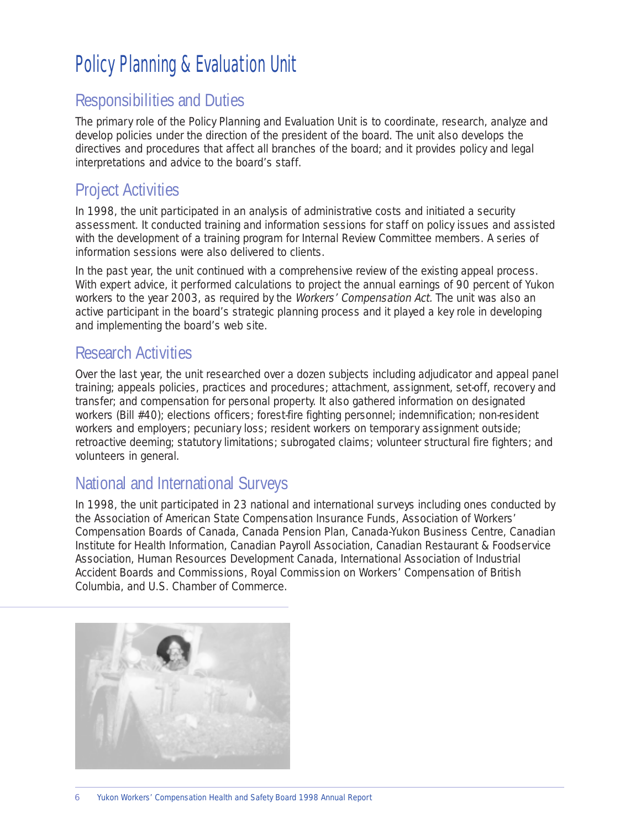# Policy Planning & Evaluation Unit

### Responsibilities and Duties

The primary role of the Policy Planning and Evaluation Unit is to coordinate, research, analyze and develop policies under the direction of the president of the board. The unit also develops the directives and procedures that affect all branches of the board; and it provides policy and legal interpretations and advice to the board's staff.

### Project Activities

In 1998, the unit participated in an analysis of administrative costs and initiated a security assessment. It conducted training and information sessions for staff on policy issues and assisted with the development of a training program for Internal Review Committee members. A series of information sessions were also delivered to clients.

In the past year, the unit continued with a comprehensive review of the existing appeal process. With expert advice, it performed calculations to project the annual earnings of 90 percent of Yukon workers to the year 2003, as required by the Workers' Compensation Act. The unit was also an active participant in the board's strategic planning process and it played a key role in developing and implementing the board's web site.

### Research Activities

Over the last year, the unit researched over a dozen subjects including adjudicator and appeal panel training; appeals policies, practices and procedures; attachment, assignment, set-off, recovery and transfer; and compensation for personal property. It also gathered information on designated workers (Bill #40); elections officers; forest-fire fighting personnel; indemnification; non-resident workers and employers; pecuniary loss; resident workers on temporary assignment outside; retroactive deeming; statutory limitations; subrogated claims; volunteer structural fire fighters; and volunteers in general.

### National and International Surveys

In 1998, the unit participated in 23 national and international surveys including ones conducted by the Association of American State Compensation Insurance Funds, Association of Workers' Compensation Boards of Canada, Canada Pension Plan, Canada-Yukon Business Centre, Canadian Institute for Health Information, Canadian Payroll Association, Canadian Restaurant & Foodservice Association, Human Resources Development Canada, International Association of Industrial Accident Boards and Commissions, Royal Commission on Workers' Compensation of British Columbia, and U.S. Chamber of Commerce.

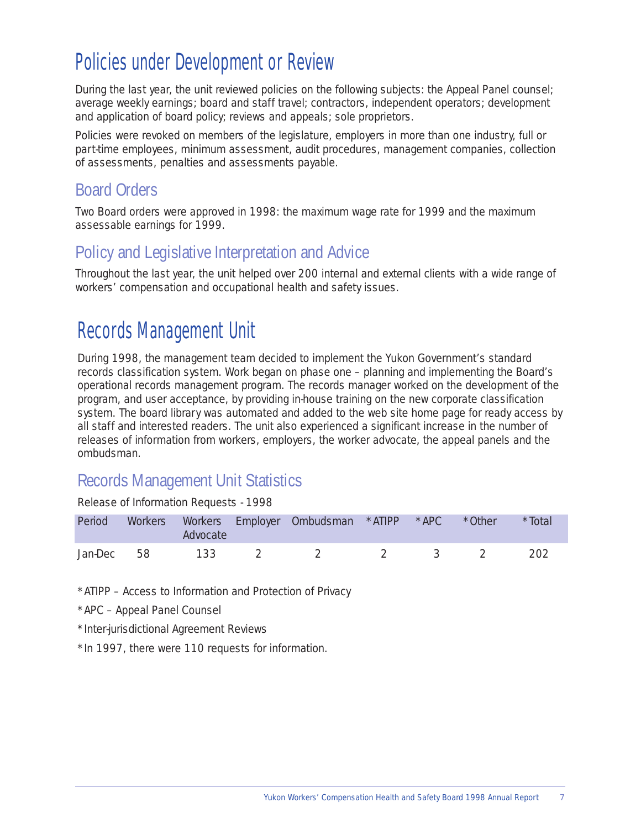# Policies under Development or Review

During the last year, the unit reviewed policies on the following subjects: the Appeal Panel counsel; average weekly earnings; board and staff travel; contractors, independent operators; development and application of board policy; reviews and appeals; sole proprietors.

Policies were revoked on members of the legislature, employers in more than one industry, full or part-time employees, minimum assessment, audit procedures, management companies, collection of assessments, penalties and assessments payable.

### Board Orders

Two Board orders were approved in 1998: the maximum wage rate for 1999 and the maximum assessable earnings for 1999.

### Policy and Legislative Interpretation and Advice

Throughout the last year, the unit helped over 200 internal and external clients with a wide range of workers' compensation and occupational health and safety issues.

# Records Management Unit

During 1998, the management team decided to implement the Yukon Government's standard records classification system. Work began on phase one – planning and implementing the Board's operational records management program. The records manager worked on the development of the program, and user acceptance, by providing in-house training on the new corporate classification system. The board library was automated and added to the web site home page for ready access by all staff and interested readers. The unit also experienced a significant increase in the number of releases of information from workers, employers, the worker advocate, the appeal panels and the ombudsman.

### Records Management Unit Statistics

Release of Information Requests - 1998

| Period     | Advocate | Workers Workers Employer Ombudsman *ATIPP *APC *Other |                               |  | *Total |
|------------|----------|-------------------------------------------------------|-------------------------------|--|--------|
| Jan-Dec 58 | 133      |                                                       | $\overline{2}$ $\overline{3}$ |  | -202   |

\*ATIPP – Access to Information and Protection of Privacy

\*APC – Appeal Panel Counsel

\*Inter-jurisdictional Agreement Reviews

\*In 1997, there were 110 requests for information.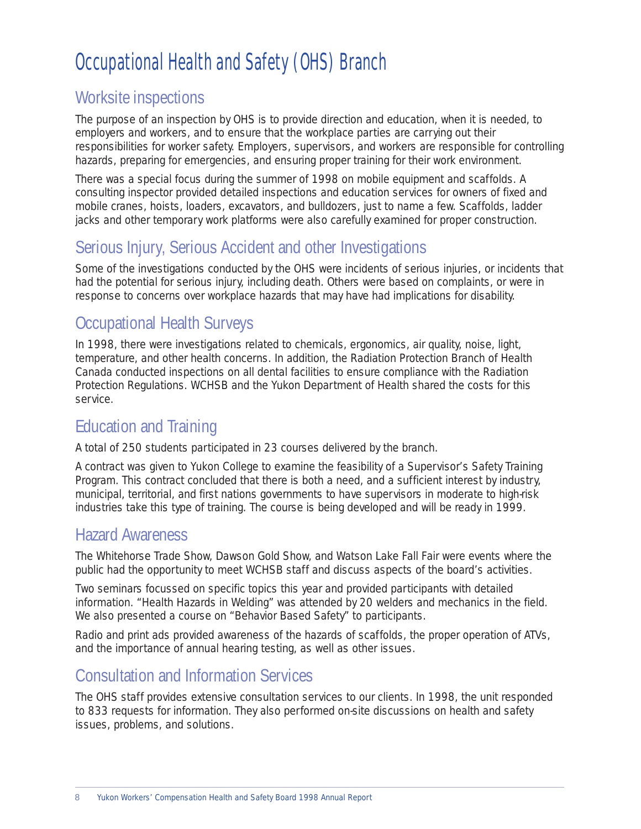# Occupational Health and Safety (OHS) Branch

### Worksite inspections

The purpose of an inspection by OHS is to provide direction and education, when it is needed, to employers and workers, and to ensure that the workplace parties are carrying out their responsibilities for worker safety. Employers, supervisors, and workers are responsible for controlling hazards, preparing for emergencies, and ensuring proper training for their work environment.

There was a special focus during the summer of 1998 on mobile equipment and scaffolds. A consulting inspector provided detailed inspections and education services for owners of fixed and mobile cranes, hoists, loaders, excavators, and bulldozers, just to name a few. Scaffolds, ladder jacks and other temporary work platforms were also carefully examined for proper construction.

### Serious Injury, Serious Accident and other Investigations

Some of the investigations conducted by the OHS were incidents of serious injuries, or incidents that had the potential for serious injury, including death. Others were based on complaints, or were in response to concerns over workplace hazards that may have had implications for disability.

### Occupational Health Surveys

In 1998, there were investigations related to chemicals, ergonomics, air quality, noise, light, temperature, and other health concerns. In addition, the Radiation Protection Branch of Health Canada conducted inspections on all dental facilities to ensure compliance with the Radiation Protection Regulations. WCHSB and the Yukon Department of Health shared the costs for this service.

### Education and Training

A total of 250 students participated in 23 courses delivered by the branch.

A contract was given to Yukon College to examine the feasibility of a Supervisor's Safety Training Program. This contract concluded that there is both a need, and a sufficient interest by industry, municipal, territorial, and first nations governments to have supervisors in moderate to high-risk industries take this type of training. The course is being developed and will be ready in 1999.

### Hazard Awareness

The Whitehorse Trade Show, Dawson Gold Show, and Watson Lake Fall Fair were events where the public had the opportunity to meet WCHSB staff and discuss aspects of the board's activities.

Two seminars focussed on specific topics this year and provided participants with detailed information. "Health Hazards in Welding" was attended by 20 welders and mechanics in the field. We also presented a course on "Behavior Based Safety" to participants.

Radio and print ads provided awareness of the hazards of scaffolds, the proper operation of ATVs, and the importance of annual hearing testing, as well as other issues.

### Consultation and Information Services

The OHS staff provides extensive consultation services to our clients. In 1998, the unit responded to 833 requests for information. They also performed on-site discussions on health and safety issues, problems, and solutions.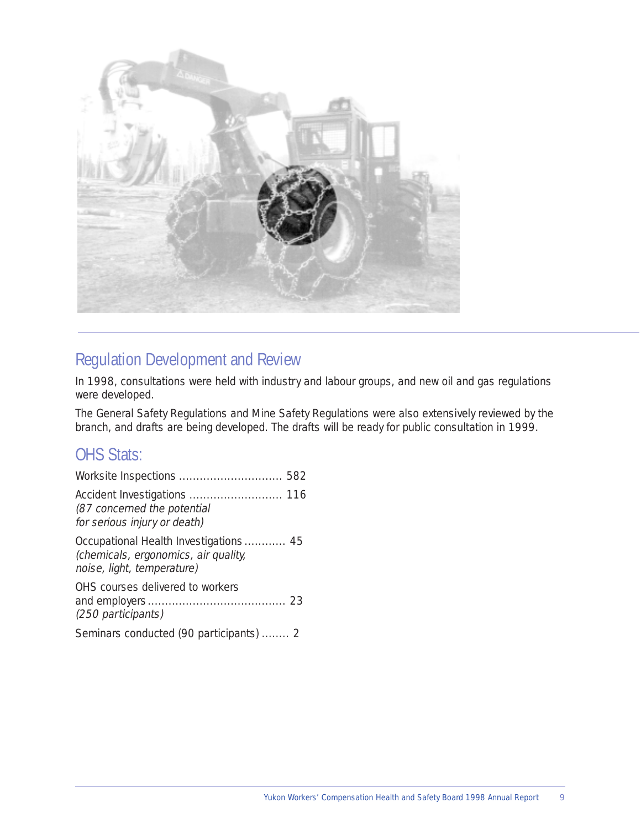

### Regulation Development and Review

In 1998, consultations were held with industry and labour groups, and new oil and gas regulations were developed.

The General Safety Regulations and Mine Safety Regulations were also extensively reviewed by the branch, and drafts are being developed. The drafts will be ready for public consultation in 1999.

### OHS Stats:

| (87 concerned the potential<br>for serious injury or death)                                                 |
|-------------------------------------------------------------------------------------------------------------|
| Occupational Health Investigations 45<br>(chemicals, ergonomics, air quality,<br>noise, light, temperature) |
| OHS courses delivered to workers<br>(250 participants)                                                      |
| Seminars conducted (90 participants)  2                                                                     |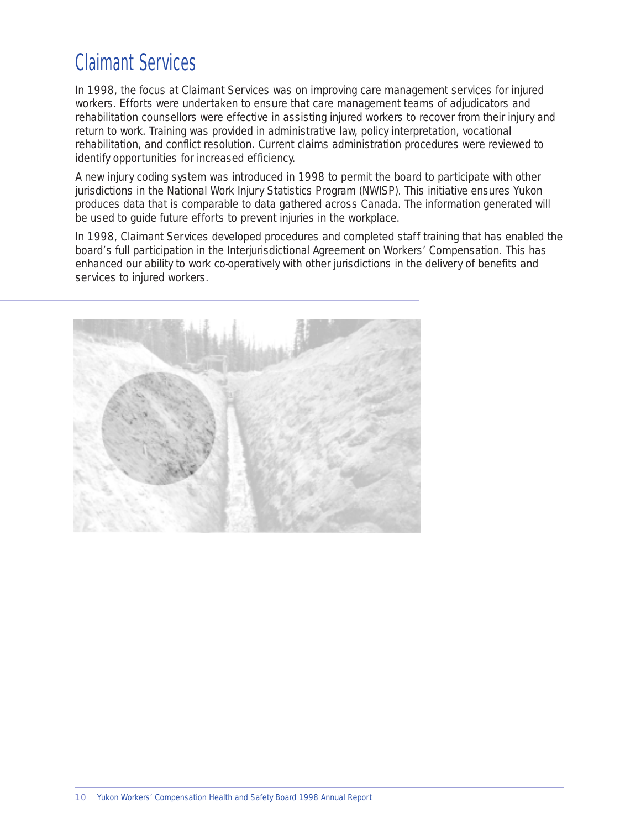# <span id="page-9-0"></span>Claimant Services

In 1998, the focus at Claimant Services was on improving care management services for injured workers. Efforts were undertaken to ensure that care management teams of adjudicators and rehabilitation counsellors were effective in assisting injured workers to recover from their injury and return to work. Training was provided in administrative law, policy interpretation, vocational rehabilitation, and conflict resolution. Current claims administration procedures were reviewed to identify opportunities for increased efficiency.

A new injury coding system was introduced in 1998 to permit the board to participate with other jurisdictions in the National Work Injury Statistics Program (NWISP). This initiative ensures Yukon produces data that is comparable to data gathered across Canada. The information generated will be used to guide future efforts to prevent injuries in the workplace.

In 1998, Claimant Services developed procedures and completed staff training that has enabled the board's full participation in the Interjurisdictional Agreement on Workers' Compensation. This has enhanced our ability to work co-operatively with other jurisdictions in the delivery of benefits and services to injured workers.

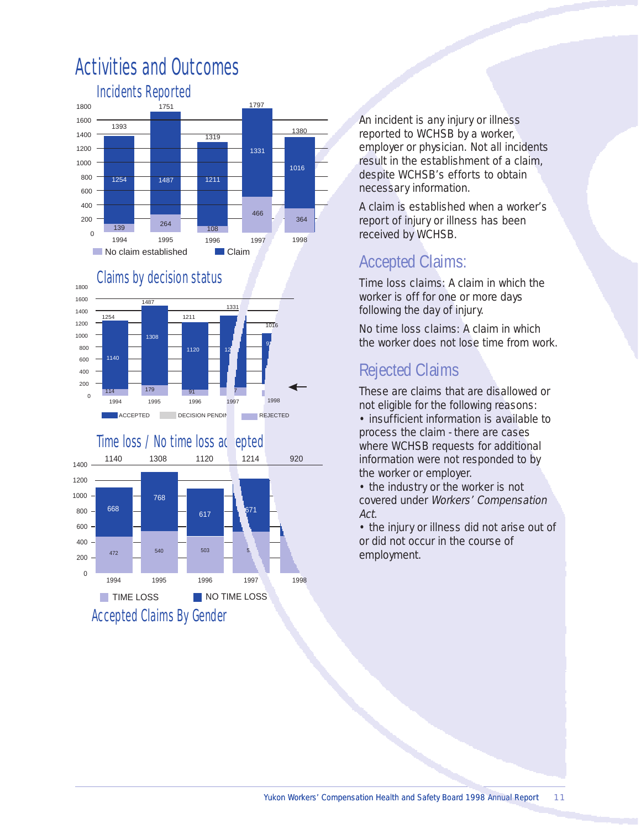

## Activities and Outcomes







An incident is any injury or illness reported to WCHSB by a worker, employer or physician. Not all incidents result in the establishment of a claim, despite WCHSB's efforts to obtain necessary information.

A claim is established when a worker's report of injury or illness has been received by WCHSB.

## Accepted Claims:

Time loss claims: A claim in which the worker is off for one or more days following the day of injury.

No time loss claims: A claim in which the worker does not lose time from work.

## Rejected Claims

These are claims that are disallowed or not eligible for the following reasons:

• insufficient information is available to process the claim - there are cases where WCHSB requests for additional information were not responded to by the worker or employer.

• the industry or the worker is not covered under Workers' Compensation Act.

• the injury or illness did not arise out of or did not occur in the course of employment.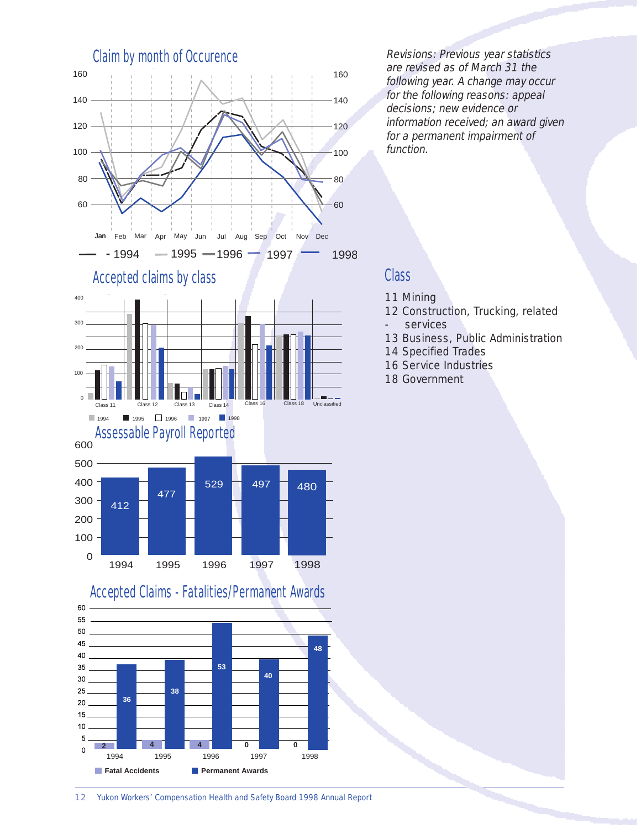

Revisions: Previous year statistics are revised as of March 31 the following year. A change may occur for the following reasons: appeal decisions; new evidence or information received; an award given for a permanent impairment of function.

### **Class**

- 11 Mining
- 12 Construction, Trucking, related services
- 13 Business, Public Administration
- 14 Specified Trades
- 16 Service Industries
- 18 Government



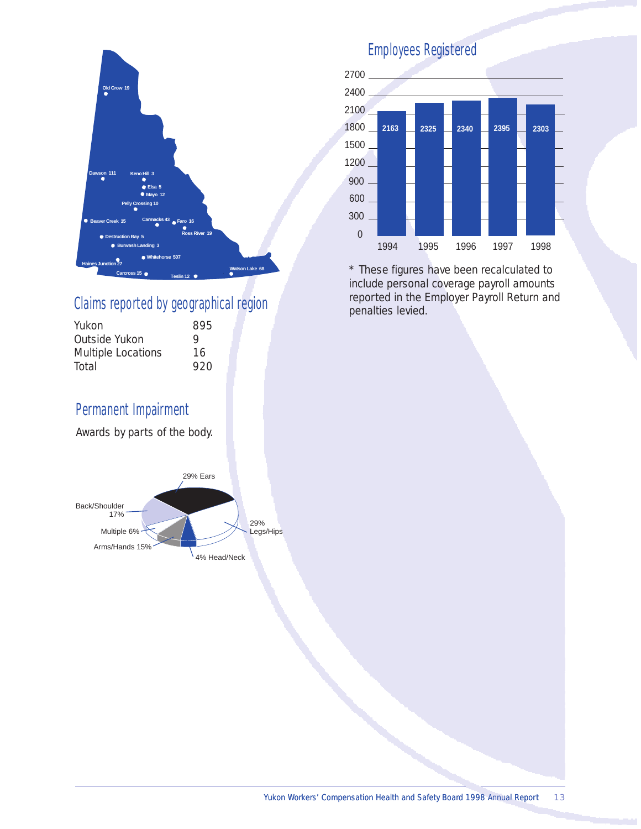

### Claims reported by geographical region

| 895 |  |
|-----|--|
| Q   |  |
| 16  |  |
| 920 |  |
|     |  |

### Permanent Impairment

Awards by parts of the body.



### Employees Registered



\* These figures have been recalculated to include personal coverage payroll amounts reported in the Employer Payroll Return and penalties levied.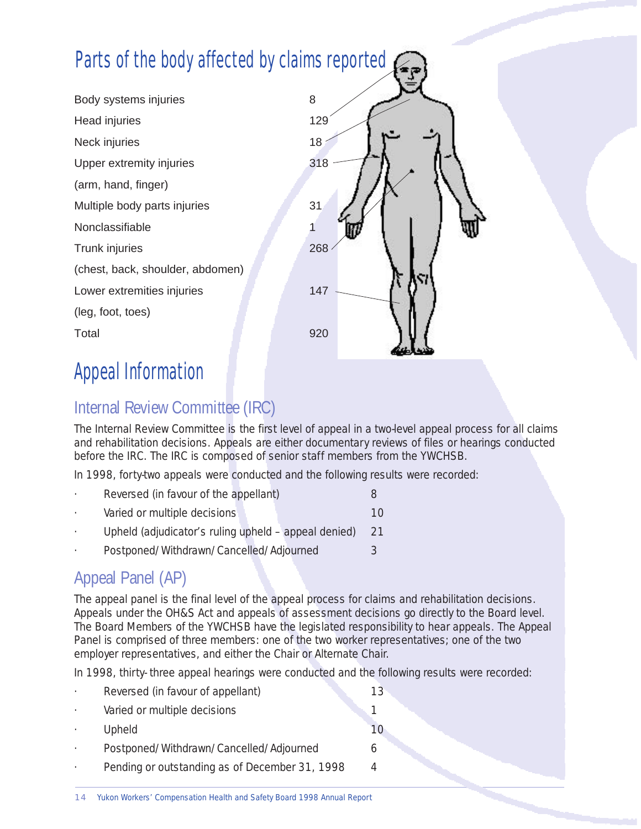# Parts of the body affected by claims reported

Body systems injuries 8 Head injuries 129 Neck injuries 18 Upper extremity injuries **318** (arm, hand, finger) Multiple body parts injuries **31 Nonclassifiable** Trunk injuries 268 (chest, back, shoulder, abdomen) Lower extremities injuries 147 (leg, foot, toes) Total 920



# Appeal Information

## Internal Review Committee (IRC)

The Internal Review Committee is the first level of appeal in a two-level appeal process for all claims and rehabilitation decisions. Appeals are either documentary reviews of files or hearings conducted before the IRC. The IRC is composed of senior staff members from the YWCHSB.

In 1998, forty-two appeals were conducted and the following results were recorded:

- Reversed (in favour of the appellant) 8 **Varied or multiple decisions** 10 Upheld (adjudicator's ruling upheld – appeal denied) 21
- Postponed/Withdrawn/Cancelled/Adjourned 3

## Appeal Panel (AP)

The appeal panel is the final level of the appeal process for claims and rehabilitation decisions. Appeals under the OH&S Act and appeals of assessment decisions go directly to the Board level. The Board Members of the YWCHSB have the legislated responsibility to hear appeals. The Appeal Panel is comprised of three members: one of the two worker representatives; one of the two employer representatives, and either the Chair or Alternate Chair.

In 1998, thirty- three appeal hearings were conducted and the following results were recorded:

|         | Reversed (in favour of appellant)              | 13 |
|---------|------------------------------------------------|----|
| $\cdot$ | Varied or multiple decisions                   |    |
|         | Upheld                                         |    |
|         | Postponed/Withdrawn/Cancelled/Adjourned        | h  |
|         | Pending or outstanding as of December 31, 1998 |    |
|         |                                                |    |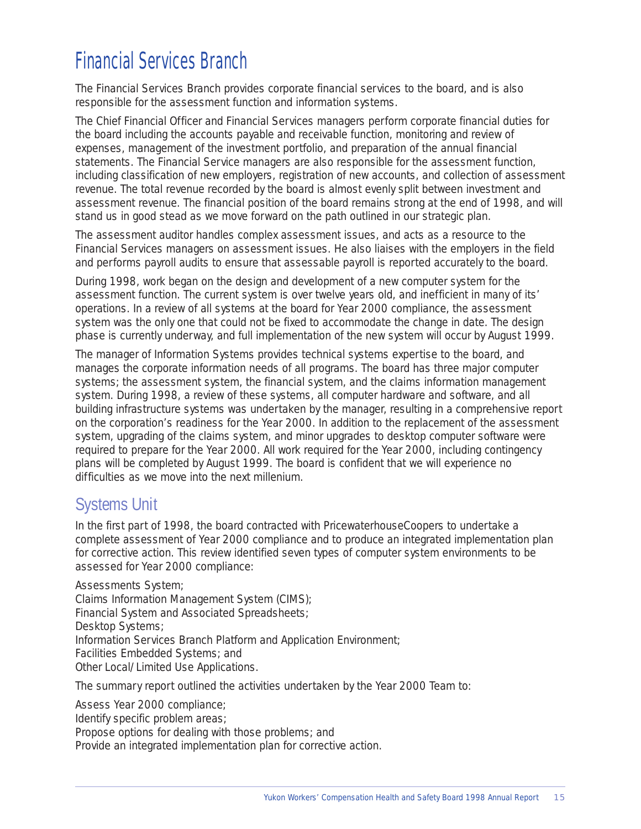# <span id="page-14-0"></span>Financial Services Branch

The Financial Services Branch provides corporate financial services to the board, and is also responsible for the assessment function and information systems.

The Chief Financial Officer and Financial Services managers perform corporate financial duties for the board including the accounts payable and receivable function, monitoring and review of expenses, management of the investment portfolio, and preparation of the annual financial statements. The Financial Service managers are also responsible for the assessment function, including classification of new employers, registration of new accounts, and collection of assessment revenue. The total revenue recorded by the board is almost evenly split between investment and assessment revenue. The financial position of the board remains strong at the end of 1998, and will stand us in good stead as we move forward on the path outlined in our strategic plan.

The assessment auditor handles complex assessment issues, and acts as a resource to the Financial Services managers on assessment issues. He also liaises with the employers in the field and performs payroll audits to ensure that assessable payroll is reported accurately to the board.

During 1998, work began on the design and development of a new computer system for the assessment function. The current system is over twelve years old, and inefficient in many of its' operations. In a review of all systems at the board for Year 2000 compliance, the assessment system was the only one that could not be fixed to accommodate the change in date. The design phase is currently underway, and full implementation of the new system will occur by August 1999.

The manager of Information Systems provides technical systems expertise to the board, and manages the corporate information needs of all programs. The board has three major computer systems; the assessment system, the financial system, and the claims information management system. During 1998, a review of these systems, all computer hardware and software, and all building infrastructure systems was undertaken by the manager, resulting in a comprehensive report on the corporation's readiness for the Year 2000. In addition to the replacement of the assessment system, upgrading of the claims system, and minor upgrades to desktop computer software were required to prepare for the Year 2000. All work required for the Year 2000, including contingency plans will be completed by August 1999. The board is confident that we will experience no difficulties as we move into the next millenium.

### Systems Unit

In the first part of 1998, the board contracted with PricewaterhouseCoopers to undertake a complete assessment of Year 2000 compliance and to produce an integrated implementation plan for corrective action. This review identified seven types of computer system environments to be assessed for Year 2000 compliance:

Assessments System; Claims Information Management System (CIMS); Financial System and Associated Spreadsheets; Desktop Systems; Information Services Branch Platform and Application Environment; Facilities Embedded Systems; and Other Local/Limited Use Applications.

The summary report outlined the activities undertaken by the Year 2000 Team to:

Assess Year 2000 compliance;

Identify specific problem areas;

Propose options for dealing with those problems; and

Provide an integrated implementation plan for corrective action.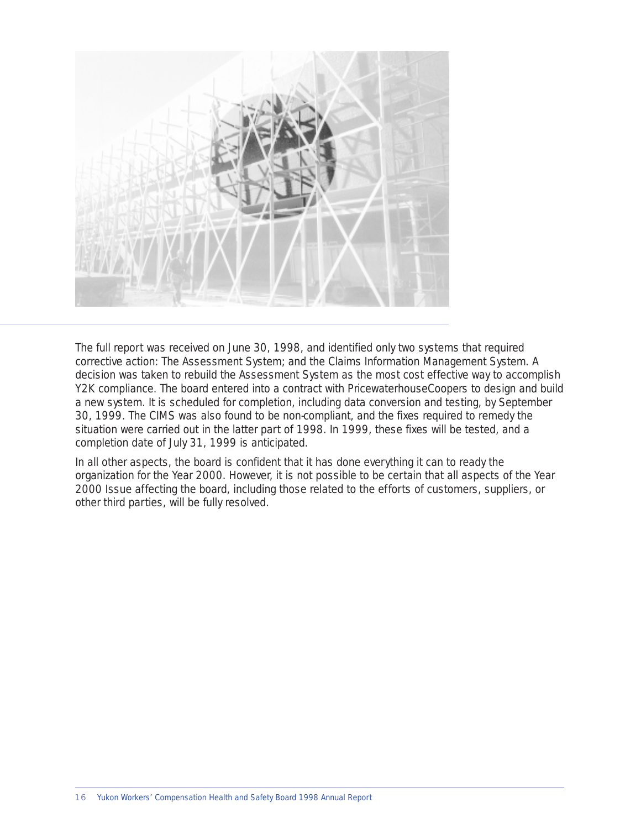

The full report was received on June 30, 1998, and identified only two systems that required corrective action: The Assessment System; and the Claims Information Management System. A decision was taken to rebuild the Assessment System as the most cost effective way to accomplish Y2K compliance. The board entered into a contract with PricewaterhouseCoopers to design and build a new system. It is scheduled for completion, including data conversion and testing, by September 30, 1999. The CIMS was also found to be non-compliant, and the fixes required to remedy the situation were carried out in the latter part of 1998. In 1999, these fixes will be tested, and a completion date of July 31, 1999 is anticipated.

In all other aspects, the board is confident that it has done everything it can to ready the organization for the Year 2000. However, it is not possible to be certain that all aspects of the Year 2000 Issue affecting the board, including those related to the efforts of customers, suppliers, or other third parties, will be fully resolved.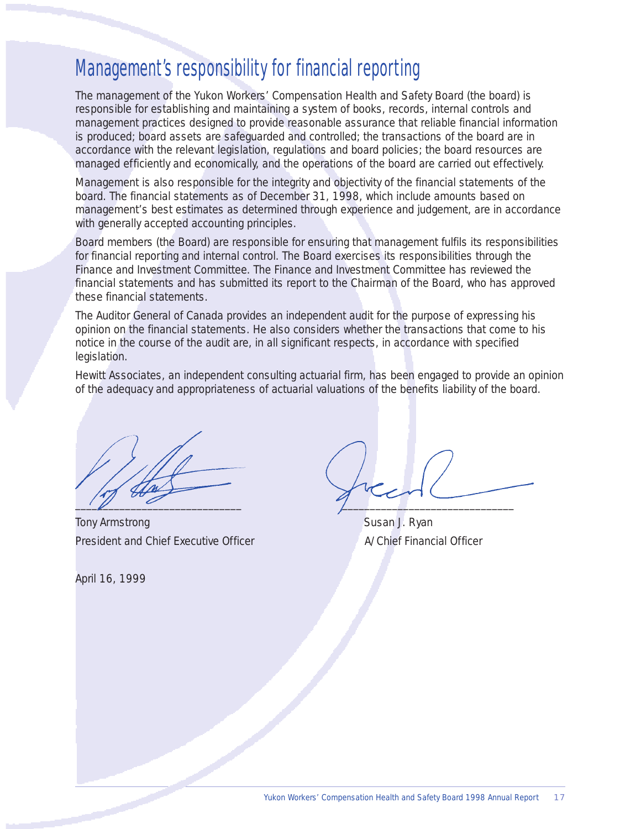# Management's responsibility for financial reporting

The management of the Yukon Workers' Compensation Health and Safety Board (the board) is responsible for establishing and maintaining a system of books, records, internal controls and management practices designed to provide reasonable assurance that reliable financial information is produced; board assets are safeguarded and controlled; the transactions of the board are in accordance with the relevant legislation, regulations and board policies; the board resources are managed efficiently and economically, and the operations of the board are carried out effectively.

Management is also responsible for the integrity and objectivity of the financial statements of the board. The financial statements as of December 31, 1998, which include amounts based on management's best estimates as determined through experience and judgement, are in accordance with generally accepted accounting principles.

Board members (the Board) are responsible for ensuring that management fulfils its responsibilities for financial reporting and internal control. The Board exercises its responsibilities through the Finance and Investment Committee. The Finance and Investment Committee has reviewed the financial statements and has submitted its report to the Chairman of the Board, who has approved these financial statements.

The Auditor General of Canada provides an independent audit for the purpose of expressing his opinion on the financial statements. He also considers whether the transactions that come to his notice in the course of the audit are, in all significant respects, in accordance with specified legislation.

Hewitt Associates, an independent consulting actuarial firm, has been engaged to provide an opinion of the adequacy and appropriateness of actuarial valuations of the benefits liability of the board.

Tony Armstrong Susan J. Ryan President and Chief Executive Officer A/Chief Financial Officer

April 16, 1999

 $\frac{1}{2}$  ,  $\frac{1}{2}$  ,  $\frac{1}{2}$  ,  $\frac{1}{2}$  ,  $\frac{1}{2}$  ,  $\frac{1}{2}$  ,  $\frac{1}{2}$  ,  $\frac{1}{2}$  ,  $\frac{1}{2}$  ,  $\frac{1}{2}$  ,  $\frac{1}{2}$  ,  $\frac{1}{2}$  ,  $\frac{1}{2}$  ,  $\frac{1}{2}$  ,  $\frac{1}{2}$  ,  $\frac{1}{2}$  ,  $\frac{1}{2}$  ,  $\frac{1}{2}$  ,  $\frac{1$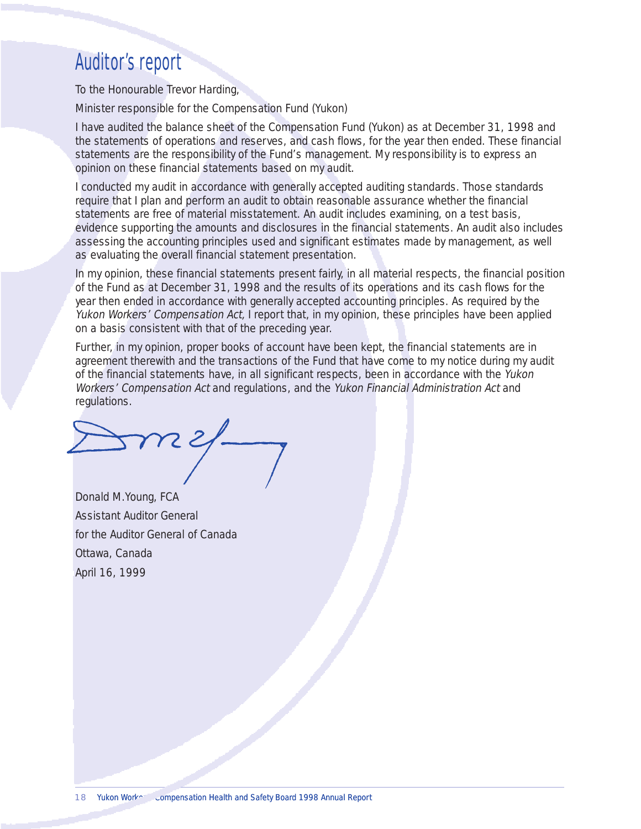## Auditor's report

To the Honourable Trevor Harding,

Minister responsible for the Compensation Fund (Yukon)

I have audited the balance sheet of the Compensation Fund (Yukon) as at December 31, 1998 and the statements of operations and reserves, and cash flows, for the year then ended. These financial statements are the responsibility of the Fund's management. My responsibility is to express an opinion on these financial statements based on my audit.

I conducted my audit in accordance with generally accepted auditing standards. Those standards require that I plan and perform an audit to obtain reasonable assurance whether the financial statements are free of material misstatement. An audit includes examining, on a test basis, evidence supporting the amounts and disclosures in the financial statements. An audit also includes assessing the accounting principles used and significant estimates made by management, as well as evaluating the overall financial statement presentation.

In my opinion, these financial statements present fairly, in all material respects, the financial position of the Fund as at December 31, 1998 and the results of its operations and its cash flows for the year then ended in accordance with generally accepted accounting principles. As required by the Yukon Workers' Compensation Act, I report that, in my opinion, these principles have been applied on a basis consistent with that of the preceding year.

Further, in my opinion, proper books of account have been kept, the financial statements are in agreement therewith and the transactions of the Fund that have come to my notice during my audit of the financial statements have, in all significant respects, been in accordance with the Yukon Workers' Compensation Act and regulations, and the Yukon Financial Administration Act and regulations.

Donald M.Young, FCA Assistant Auditor General for the Auditor General of Canada Ottawa, Canada April 16, 1999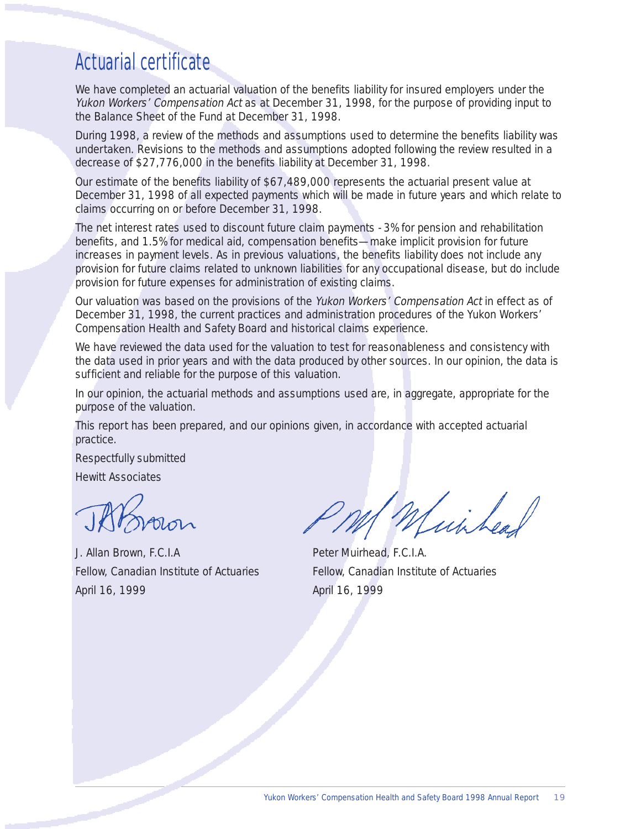# Actuarial certificate

We have completed an actuarial valuation of the benefits liability for insured employers under the Yukon Workers' Compensation Act as at December 31, 1998, for the purpose of providing input to the Balance Sheet of the Fund at December 31, 1998.

During 1998, a review of the methods and assumptions used to determine the benefits liability was undertaken. Revisions to the methods and assumptions adopted following the review resulted in a decrease of \$27,776,000 in the benefits liability at December 31, 1998.

Our estimate of the benefits liability of \$67,489,000 represents the actuarial present value at December 31, 1998 of all expected payments which will be made in future years and which relate to claims occurring on or before December 31, 1998.

The net interest rates used to discount future claim payments - 3% for pension and rehabilitation benefits, and 1.5% for medical aid, compensation benefits—make implicit provision for future increases in payment levels. As in previous valuations, the benefits liability does not include any provision for future claims related to unknown liabilities for any occupational disease, but do include provision for future expenses for administration of existing claims.

Our valuation was based on the provisions of the Yukon Workers' Compensation Act in effect as of December 31, 1998, the current practices and administration procedures of the Yukon Workers' Compensation Health and Safety Board and historical claims experience.

We have reviewed the data used for the valuation to test for reasonableness and consistency with the data used in prior years and with the data produced by other sources. In our opinion, the data is sufficient and reliable for the purpose of this valuation.

In our opinion, the actuarial methods and assumptions used are, in aggregate, appropriate for the purpose of the valuation.

This report has been prepared, and our opinions given, in accordance with accepted actuarial practice.

Respectfully submitted

Hewitt Associates

J. Allan Brown, F.C.I.A Peter Muirhead, F.C.I.A. April 16, 1999 **April 16, 1999** 

Visi Leal

Fellow, Canadian Institute of Actuaries Fellow, Canadian Institute of Actuaries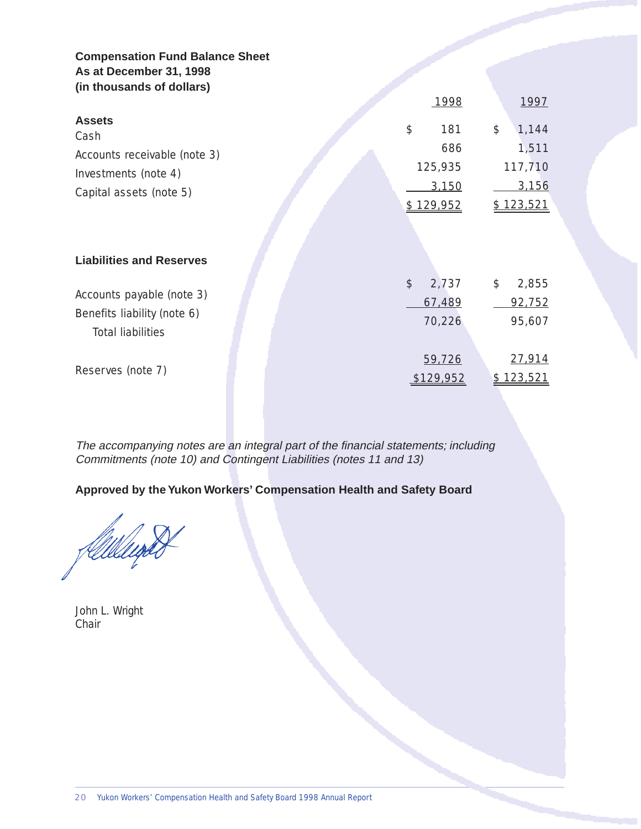### **Compensation Fund Balance Sheet As at December 31, 1998 (in thousands of dollars)**

|                                 | 1998                   | 1997                   |
|---------------------------------|------------------------|------------------------|
| <b>Assets</b><br>Cash           | $\frac{1}{2}$<br>181   | \$<br>1,144            |
| Accounts receivable (note 3)    | 686                    | 1,511                  |
| Investments (note 4)            | 125,935                | 117,710                |
| Capital assets (note 5)         | 3,150                  | 3,156                  |
|                                 | \$129,952              | <u>\$123,521</u>       |
|                                 |                        |                        |
|                                 |                        |                        |
| <b>Liabilities and Reserves</b> |                        |                        |
|                                 | $\frac{1}{2}$<br>2,737 | $\frac{1}{2}$<br>2,855 |
| Accounts payable (note 3)       | 67,489                 | 92,752                 |
| Benefits liability (note 6)     | 70,226                 | 95,607                 |
| <b>Total liabilities</b>        |                        |                        |
|                                 | 59,726                 | 27,914                 |
| Reserves (note 7)               | <u>129,952</u>         | <u>123,521</u>         |

The accompanying notes are an integral part of the financial statements; including Commitments (note 10) and Contingent Liabilities (notes 11 and 13)

**Approved by the Yukon Workers' Compensation Health and Safety Board** 

felllelept

John L. Wright Chair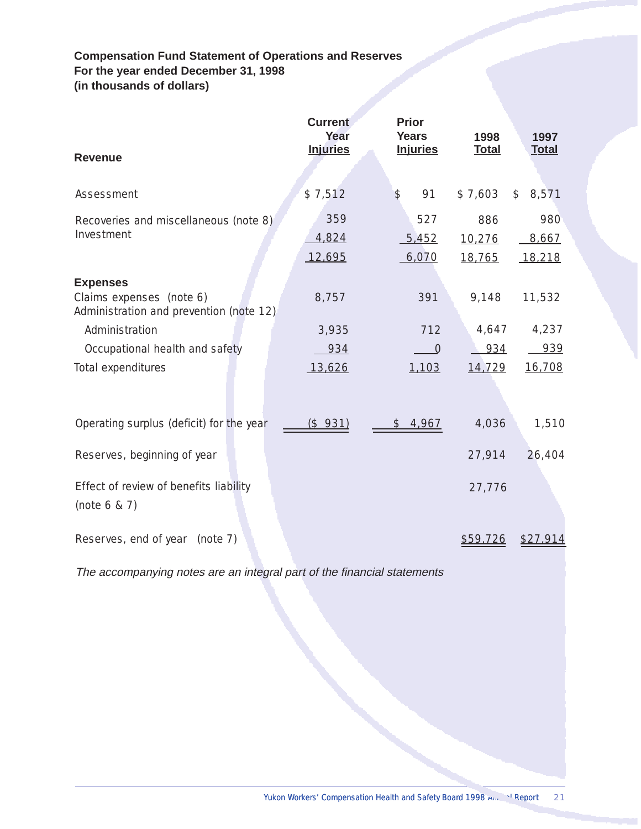### **Compensation Fund Statement of Operations and Reserves For the year ended December 31, 1998 (in thousands of dollars)**

| <b>Revenue</b>                                                      | <b>Current</b><br>Year<br><b>Injuries</b> | <b>Prior</b><br><b>Years</b><br><b>Injuries</b> | 1998<br><b>Total</b> | 1997<br><b>Total</b> |
|---------------------------------------------------------------------|-------------------------------------------|-------------------------------------------------|----------------------|----------------------|
|                                                                     |                                           |                                                 |                      |                      |
| Assessment                                                          | \$7,512                                   | 91<br>\$                                        | \$7,603              | \$8,571              |
| Recoveries and miscellaneous (note 8)                               | 359                                       | 527                                             | 886                  | 980                  |
| Investment                                                          | 4,824                                     | 5,452                                           | 10,276               | 8,667                |
|                                                                     | 12,695                                    | 6,070                                           | 18,765               | 18,218               |
| <b>Expenses</b>                                                     |                                           |                                                 |                      |                      |
| Claims expenses (note 6)<br>Administration and prevention (note 12) | 8,757                                     | 391                                             | 9,148                | 11,532               |
| Administration                                                      | 3,935                                     | 712                                             | 4,647                | 4,237                |
| Occupational health and safety                                      | 934                                       | $\overline{0}$                                  | 934                  | 939                  |
| Total expenditures                                                  | 13,626                                    | 1,103                                           | 14,729               | 16,708               |
|                                                                     |                                           |                                                 |                      |                      |
| Operating surplus (deficit) for the year                            | <u>(\$931)</u>                            | \$4,967                                         | 4,036                | 1,510                |
| Reserves, beginning of year                                         |                                           |                                                 | 27,914               | 26,404               |
| Effect of review of benefits liability                              |                                           |                                                 | 27,776               |                      |
| (note $6 & 7$ )                                                     |                                           |                                                 |                      |                      |
| Reserves, end of year<br>(note 7)                                   |                                           |                                                 | <u>\$59,726</u>      | \$27,914             |

The accompanying notes are an integral part of the financial statements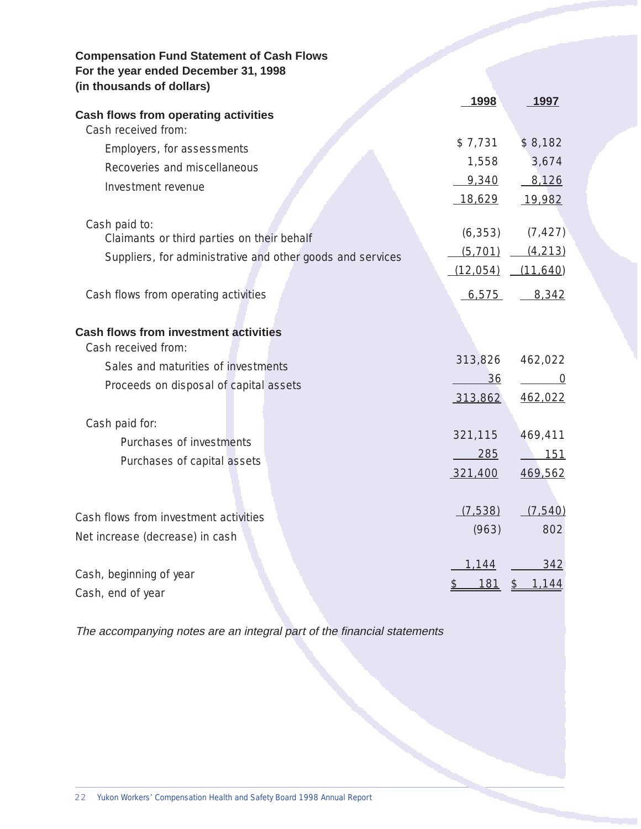| <b>Compensation Fund Statement of Cash Flows</b><br>For the year ended December 31, 1998<br>(in thousands of dollars) |                      |                                          |
|-----------------------------------------------------------------------------------------------------------------------|----------------------|------------------------------------------|
|                                                                                                                       | 1998                 | 1997                                     |
| <b>Cash flows from operating activities</b><br>Cash received from:                                                    |                      |                                          |
| Employers, for assessments                                                                                            | \$7,731              | \$8,182                                  |
| Recoveries and miscellaneous                                                                                          | 1,558                | 3,674                                    |
| Investment revenue                                                                                                    | 9,340                | 8,126                                    |
|                                                                                                                       | 18,629               | 19,982                                   |
| Cash paid to:<br>Claimants or third parties on their behalf                                                           | (6, 353)<br>(5, 701) | (7, 427)<br>(4, 213)                     |
| Suppliers, for administrative and other goods and services                                                            | (12, 054)            | (11, 640)                                |
| Cash flows from operating activities                                                                                  | 6,575                | 8,342                                    |
| <b>Cash flows from investment activities</b><br>Cash received from:                                                   |                      |                                          |
| Sales and maturities of investments                                                                                   | 313,826              | 462,022                                  |
| Proceeds on disposal of capital assets                                                                                | 36<br>313,862        | 0<br>462,022                             |
| Cash paid for:                                                                                                        |                      |                                          |
| Purchases of investments                                                                                              | 321,115              | 469,411                                  |
| Purchases of capital assets                                                                                           | 285                  | 151                                      |
|                                                                                                                       | 321,400              | 469,562                                  |
| Cash flows from investment activities                                                                                 | (7,538)              | (7, 540)                                 |
| Net increase (decrease) in cash                                                                                       | (963)                | 802                                      |
| Cash, beginning of year                                                                                               | <u>1,144</u>         | <u>342</u>                               |
| Cash, end of year                                                                                                     | <u> 181</u>          | <u>1,144</u><br>$\overline{\mathcal{F}}$ |

The accompanying notes are an integral part of the financial statements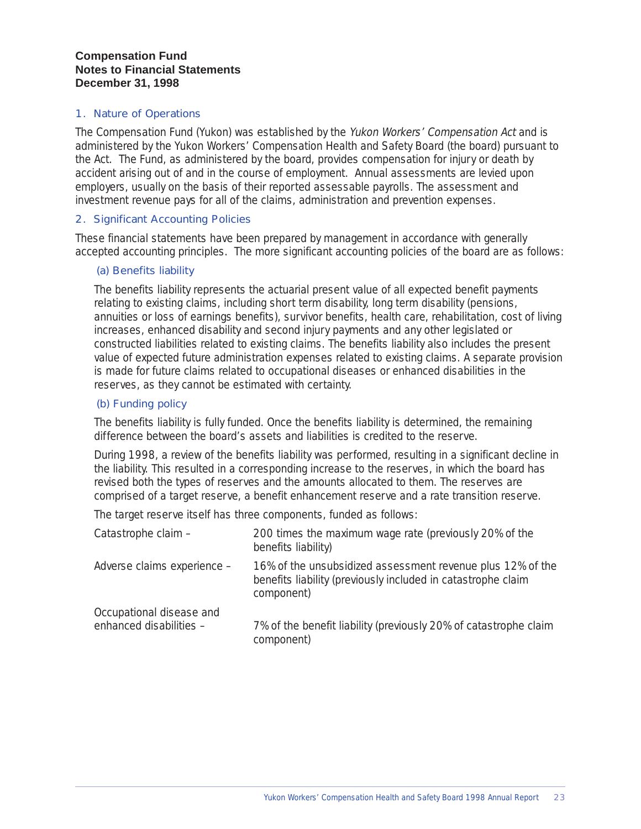### **Compensation Fund Notes to Financial Statements December 31, 1998**

#### 1. Nature of Operations

The Compensation Fund (Yukon) was established by the Yukon Workers' Compensation Act and is administered by the Yukon Workers' Compensation Health and Safety Board (the board) pursuant to the Act. The Fund, as administered by the board, provides compensation for injury or death by accident arising out of and in the course of employment. Annual assessments are levied upon employers, usually on the basis of their reported assessable payrolls. The assessment and investment revenue pays for all of the claims, administration and prevention expenses.

### 2. Significant Accounting Policies

These financial statements have been prepared by management in accordance with generally accepted accounting principles. The more significant accounting policies of the board are as follows:

#### (a) Benefits liability

The benefits liability represents the actuarial present value of all expected benefit payments relating to existing claims, including short term disability, long term disability (pensions, annuities or loss of earnings benefits), survivor benefits, health care, rehabilitation, cost of living increases, enhanced disability and second injury payments and any other legislated or constructed liabilities related to existing claims. The benefits liability also includes the present value of expected future administration expenses related to existing claims. A separate provision is made for future claims related to occupational diseases or enhanced disabilities in the reserves, as they cannot be estimated with certainty.

#### (b) Funding policy

The benefits liability is fully funded. Once the benefits liability is determined, the remaining difference between the board's assets and liabilities is credited to the reserve.

During 1998, a review of the benefits liability was performed, resulting in a significant decline in the liability. This resulted in a corresponding increase to the reserves, in which the board has revised both the types of reserves and the amounts allocated to them. The reserves are comprised of a target reserve, a benefit enhancement reserve and a rate transition reserve.

The target reserve itself has three components, funded as follows:

| Catastrophe claim -                                 | 200 times the maximum wage rate (previously 20% of the<br>benefits liability)                                                            |
|-----------------------------------------------------|------------------------------------------------------------------------------------------------------------------------------------------|
| Adverse claims experience -                         | 16% of the unsubsidized assessment revenue plus 12% of the<br>benefits liability (previously included in catastrophe claim<br>component) |
| Occupational disease and<br>enhanced disabilities - | 7% of the benefit liability (previously 20% of catastrophe claim<br>component)                                                           |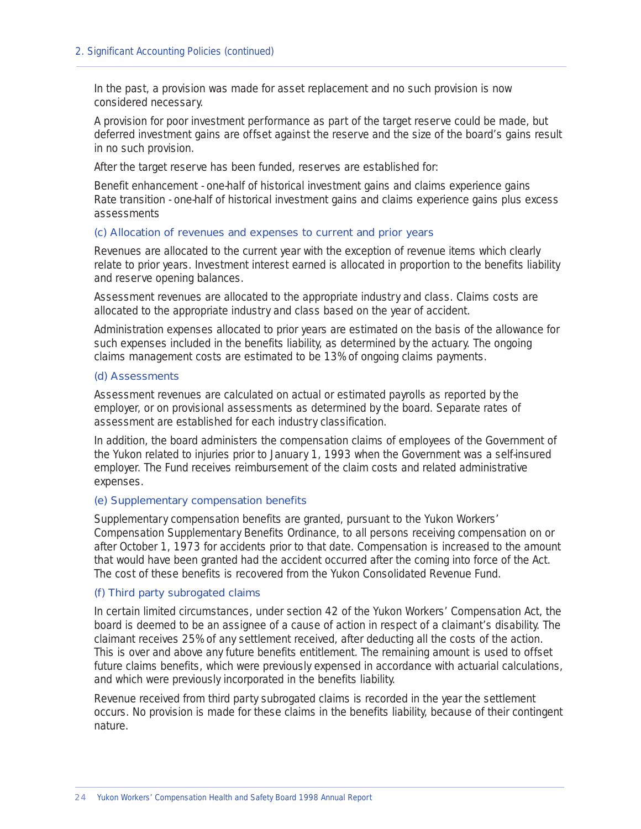In the past, a provision was made for asset replacement and no such provision is now considered necessary.

A provision for poor investment performance as part of the target reserve could be made, but deferred investment gains are offset against the reserve and the size of the board's gains result in no such provision.

After the target reserve has been funded, reserves are established for:

Benefit enhancement - one-half of historical investment gains and claims experience gains Rate transition - one-half of historical investment gains and claims experience gains plus excess assessments

#### (c) Allocation of revenues and expenses to current and prior years

Revenues are allocated to the current year with the exception of revenue items which clearly relate to prior years. Investment interest earned is allocated in proportion to the benefits liability and reserve opening balances.

Assessment revenues are allocated to the appropriate industry and class. Claims costs are allocated to the appropriate industry and class based on the year of accident.

Administration expenses allocated to prior years are estimated on the basis of the allowance for such expenses included in the benefits liability, as determined by the actuary. The ongoing claims management costs are estimated to be 13% of ongoing claims payments.

#### (d) Assessments

Assessment revenues are calculated on actual or estimated payrolls as reported by the employer, or on provisional assessments as determined by the board. Separate rates of assessment are established for each industry classification.

In addition, the board administers the compensation claims of employees of the Government of the Yukon related to injuries prior to January 1, 1993 when the Government was a self-insured employer. The Fund receives reimbursement of the claim costs and related administrative expenses.

#### (e) Supplementary compensation benefits

Supplementary compensation benefits are granted, pursuant to the Yukon Workers' Compensation Supplementary Benefits Ordinance, to all persons receiving compensation on or after October 1, 1973 for accidents prior to that date. Compensation is increased to the amount that would have been granted had the accident occurred after the coming into force of the Act. The cost of these benefits is recovered from the Yukon Consolidated Revenue Fund.

#### (f) Third party subrogated claims

In certain limited circumstances, under section 42 of the Yukon Workers' Compensation Act, the board is deemed to be an assignee of a cause of action in respect of a claimant's disability. The claimant receives 25% of any settlement received, after deducting all the costs of the action. This is over and above any future benefits entitlement. The remaining amount is used to offset future claims benefits, which were previously expensed in accordance with actuarial calculations, and which were previously incorporated in the benefits liability.

Revenue received from third party subrogated claims is recorded in the year the settlement occurs. No provision is made for these claims in the benefits liability, because of their contingent nature.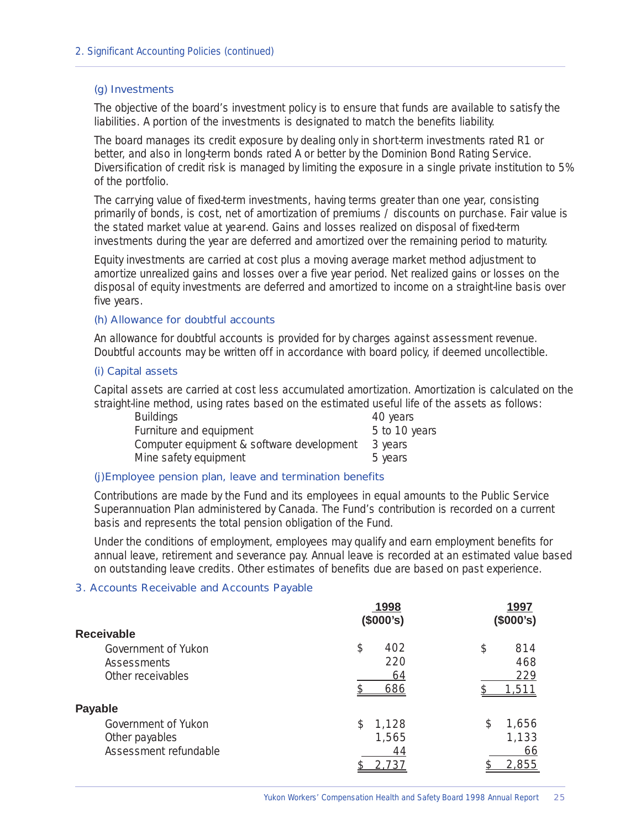#### (g) Investments

The objective of the board's investment policy is to ensure that funds are available to satisfy the liabilities. A portion of the investments is designated to match the benefits liability.

The board manages its credit exposure by dealing only in short-term investments rated R1 or better, and also in long-term bonds rated A or better by the Dominion Bond Rating Service. Diversification of credit risk is managed by limiting the exposure in a single private institution to 5% of the portfolio.

The carrying value of fixed-term investments, having terms greater than one year, consisting primarily of bonds, is cost, net of amortization of premiums / discounts on purchase. Fair value is the stated market value at year-end. Gains and losses realized on disposal of fixed-term investments during the year are deferred and amortized over the remaining period to maturity.

Equity investments are carried at cost plus a moving average market method adjustment to amortize unrealized gains and losses over a five year period. Net realized gains or losses on the disposal of equity investments are deferred and amortized to income on a straight-line basis over five years.

#### (h) Allowance for doubtful accounts

An allowance for doubtful accounts is provided for by charges against assessment revenue. Doubtful accounts may be written off in accordance with board policy, if deemed uncollectible.

#### (i) Capital assets

Capital assets are carried at cost less accumulated amortization. Amortization is calculated on the straight-line method, using rates based on the estimated useful life of the assets as follows:

| <b>Buildings</b>                          | 40 years      |
|-------------------------------------------|---------------|
| Furniture and equipment                   | 5 to 10 years |
| Computer equipment & software development | 3 years       |
| Mine safety equipment                     | 5 years       |

#### (j)Employee pension plan, leave and termination benefits

Contributions are made by the Fund and its employees in equal amounts to the Public Service Superannuation Plan administered by Canada. The Fund's contribution is recorded on a current basis and represents the total pension obligation of the Fund.

Under the conditions of employment, employees may qualify and earn employment benefits for annual leave, retirement and severance pay. Annual leave is recorded at an estimated value based on outstanding leave credits. Other estimates of benefits due are based on past experience.

#### 3. Accounts Receivable and Accounts Payable

|                       | 1998<br>(\$000's) | 1997<br>(\$000's) |
|-----------------------|-------------------|-------------------|
| <b>Receivable</b>     |                   |                   |
| Government of Yukon   | \$<br>402         | \$<br>814         |
| <b>Assessments</b>    | 220               | 468               |
| Other receivables     | 64                | 229               |
|                       | 686               | 1,511             |
| <b>Payable</b>        |                   |                   |
| Government of Yukon   | 1,128<br>\$       | \$<br>1,656       |
| Other payables        | 1,565             | 1,133             |
| Assessment refundable | 44                | 66                |
|                       | 2.737             | <u>2,855</u>      |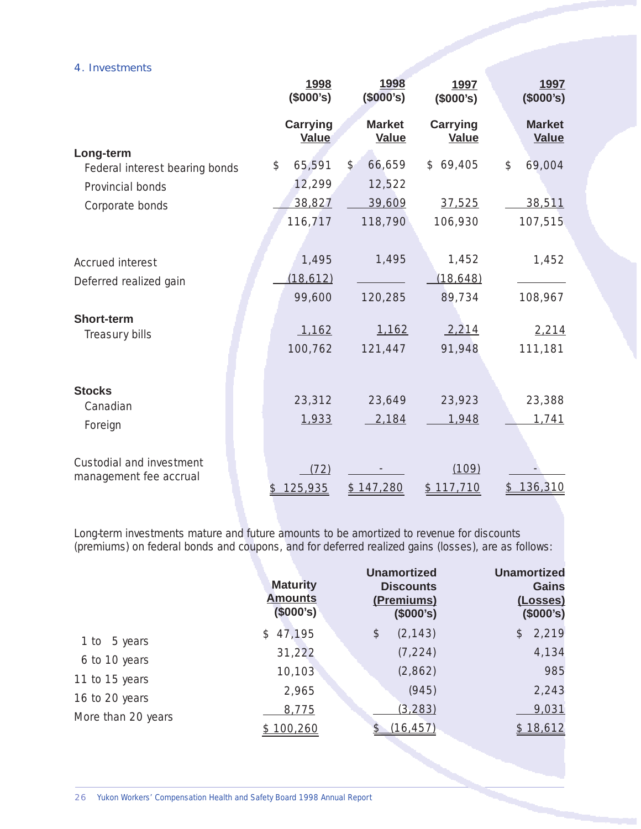#### 4. Investments

|                                             | 1998<br>(\$000's)               | 1998<br>(\$000's)       | 1997<br>(\$000's)               | 1997<br>(\$000's)             |
|---------------------------------------------|---------------------------------|-------------------------|---------------------------------|-------------------------------|
|                                             | <b>Carrying</b><br><b>Value</b> | <b>Market</b><br>Value  | <b>Carrying</b><br><b>Value</b> | <b>Market</b><br><b>Value</b> |
| Long-term<br>Federal interest bearing bonds | 65,591<br>\$                    | 66,659<br>$\frac{1}{2}$ | \$69,405                        | \$<br>69,004                  |
| Provincial bonds                            | 12,299                          | 12,522                  |                                 |                               |
| Corporate bonds                             | 38,827                          | 39,609                  | 37,525                          | 38,511                        |
|                                             | 116,717                         | 118,790                 | 106,930                         | 107,515                       |
|                                             |                                 |                         |                                 |                               |
| Accrued interest                            | 1,495                           | 1,495                   | 1,452                           | 1,452                         |
| Deferred realized gain                      | (18, 612)                       |                         | (18, 648)                       |                               |
|                                             | 99,600                          | 120,285                 | 89,734                          | 108,967                       |
| <b>Short-term</b>                           |                                 |                         |                                 |                               |
| Treasury bills                              | 1,162                           | 1,162                   | 2,214                           | 2,214                         |
|                                             | 100,762                         | 121,447                 | 91,948                          | 111,181                       |
|                                             |                                 |                         |                                 |                               |
| <b>Stocks</b>                               |                                 |                         |                                 |                               |
| Canadian                                    | 23,312                          | 23,649                  | 23,923                          | 23,388                        |
| Foreign                                     | 1,933                           | 2,184                   | 1,948                           | 1,741                         |
|                                             |                                 |                         |                                 |                               |
| Custodial and investment                    | (72)                            |                         | (109)                           |                               |
| management fee accrual                      | 125,935<br>\$                   | <u>\$147,280</u>        | \$117,710                       | 136,310                       |

Long-term investments mature and future amounts to be amortized to revenue for discounts (premiums) on federal bonds and coupons, and for deferred realized gains (losses), are as follows:

|                    | <b>Maturity</b><br><b>Amounts</b><br>(\$000's) | <b>Unamortized</b><br><b>Discounts</b><br>(Premiums)<br>(\$000's) | <b>Unamortized</b><br><b>Gains</b><br>(Losses)<br>(\$000's) |
|--------------------|------------------------------------------------|-------------------------------------------------------------------|-------------------------------------------------------------|
| 1 to 5 years       | \$47,195                                       | (2, 143)<br>\$                                                    | \$2,219                                                     |
| 6 to 10 years      | 31,222                                         | (7, 224)                                                          | 4,134                                                       |
|                    | 10,103                                         | (2,862)                                                           | 985                                                         |
| 11 to 15 years     | 2,965                                          | (945)                                                             | 2,243                                                       |
| 16 to 20 years     | 8,775                                          | (3, 283)                                                          | 9,031                                                       |
| More than 20 years | \$100,260                                      | (16, 457)                                                         | \$18,612                                                    |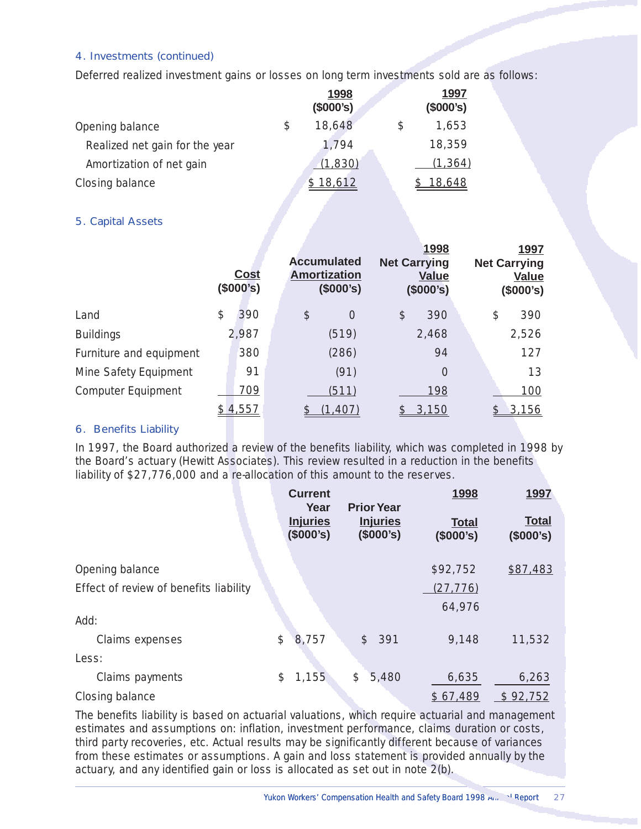### 4. Investments (continued)

Deferred realized investment gains or losses on long term investments sold are as follows:

|                                | 1998<br>(\$000's) | 1997<br>(\$000's) |
|--------------------------------|-------------------|-------------------|
| Opening balance                | \$<br>18,648      | 1,653             |
| Realized net gain for the year | 1,794             | 18,359            |
| Amortization of net gain       | (1,830)           | (1, 364)          |
| Closing balance                | 18,612            | 18,648            |

### 5. Capital Assets

|                           | <b>Cost</b><br>(\$000's) |                           | <b>Accumulated</b><br><b>Amortization</b><br>(\$000's) | 1998<br><b>Net Carrying</b><br><b>Value</b><br>(\$000's) |    | 1997<br><b>Net Carrying</b><br><b>Value</b><br>(\$000's) |
|---------------------------|--------------------------|---------------------------|--------------------------------------------------------|----------------------------------------------------------|----|----------------------------------------------------------|
| Land                      | \$<br>390                | $\boldsymbol{\mathsf{S}}$ | $\overline{0}$                                         | \$<br>390                                                | \$ | 390                                                      |
| <b>Buildings</b>          | 2,987                    |                           | (519)                                                  | 2,468                                                    |    | 2,526                                                    |
| Furniture and equipment   | 380                      |                           | (286)                                                  | 94                                                       |    | 127                                                      |
| Mine Safety Equipment     | 91                       |                           | (91)                                                   | $\overline{0}$                                           |    | 13                                                       |
| <b>Computer Equipment</b> | 709                      |                           | (511)                                                  | 198                                                      |    | 100                                                      |
|                           | 4,557                    |                           | (1,407)                                                | 3,150                                                    |    | 3,156                                                    |

#### 6. Benefits Liability

In 1997, the Board authorized a review of the benefits liability, which was completed in 1998 by the Board's actuary (Hewitt Associates). This review resulted in a reduction in the benefits liability of \$27,776,000 and a re-allocation of this amount to the reserves.

|                                        | <b>Current</b><br>Year       | <b>Prior Year</b>            | <u>1998</u>               | <u>1997</u>               |
|----------------------------------------|------------------------------|------------------------------|---------------------------|---------------------------|
|                                        | <b>Injuries</b><br>(\$000's) | <b>Injuries</b><br>(\$000's) | <b>Total</b><br>(\$000's) | <b>Total</b><br>(\$000's) |
| Opening balance                        |                              |                              | \$92,752                  | \$87,483                  |
| Effect of review of benefits liability |                              |                              | (27, 776)                 |                           |
|                                        |                              |                              | 64,976                    |                           |
| Add:                                   |                              |                              |                           |                           |
| Claims expenses                        | \$<br>8,757                  | 391<br>$\mathcal{S}$         | 9,148                     | 11,532                    |
| Less:                                  |                              |                              |                           |                           |
| Claims payments                        | 1,155<br>\$                  | \$<br>5,480                  | 6,635                     | 6,263                     |
| Closing balance                        |                              |                              | \$67,489                  | \$92,752                  |

The benefits liability is based on actuarial valuations, which require actuarial and management estimates and assumptions on: inflation, investment performance, claims duration or costs, third party recoveries, etc. Actual results may be significantly different because of variances from these estimates or assumptions. A gain and loss statement is provided annually by the actuary, and any identified gain or loss is allocated as set out in note 2(b).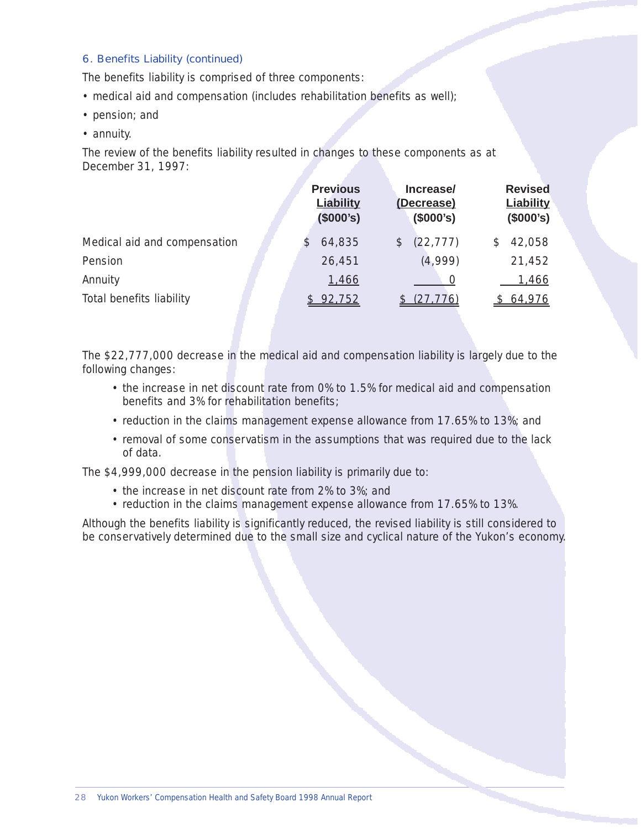### 6. Benefits Liability (continued)

The benefits liability is comprised of three components:

- medical aid and compensation (includes rehabilitation benefits as well);
- pension; and
- annuity.

The review of the benefits liability resulted in changes to these components as at December 31, 1997:

|                              | <b>Previous</b><br><b>Liability</b><br>(\$000's) | Increase/<br>(Decrease)<br>(\$000's) | <b>Revised</b><br><b>Liability</b><br>(\$000's) |
|------------------------------|--------------------------------------------------|--------------------------------------|-------------------------------------------------|
| Medical aid and compensation | 64,835                                           | (22, 777)<br>$\mathcal{L}$           | 42,058<br>S                                     |
| Pension                      | 26,451                                           | (4,999)                              | 21,452                                          |
| Annuity                      | 1,466                                            |                                      | <u>1,466</u>                                    |
| Total benefits liability     | 92,752                                           | (27, 776)                            | 64,976                                          |

The \$22,777,000 decrease in the medical aid and compensation liability is largely due to the following changes:

- the increase in net discount rate from 0% to 1.5% for medical aid and compensation benefits and 3% for rehabilitation benefits;
- reduction in the claims management expense allowance from 17.65% to 13%; and
- removal of some conservatism in the assumptions that was required due to the lack of data.

The \$4,999,000 decrease in the pension liability is primarily due to:

- the increase in net discount rate from 2% to 3%; and
- reduction in the claims management expense allowance from 17.65% to 13%.

Although the benefits liability is significantly reduced, the revised liability is still considered to be conservatively determined due to the small size and cyclical nature of the Yukon's economy.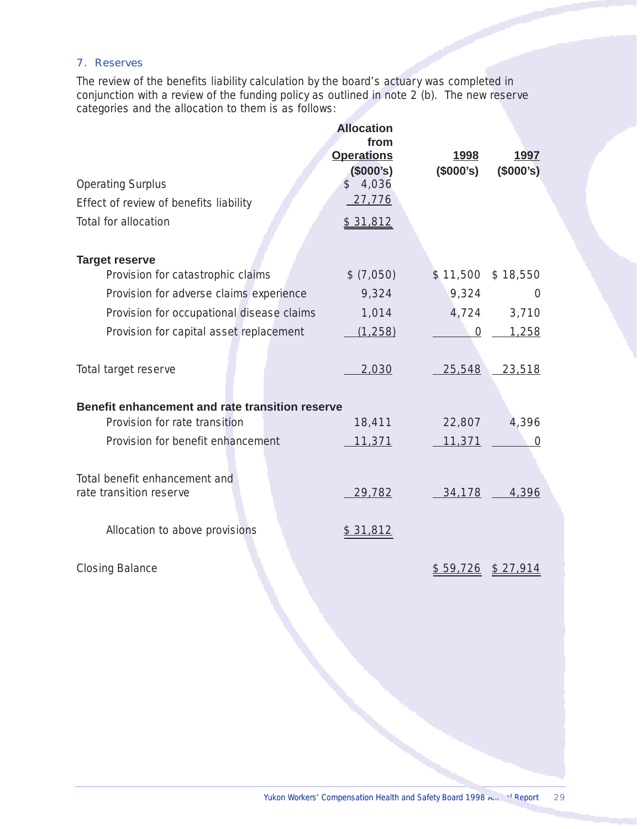### 7. Reserves

The review of the benefits liability calculation by the board's actuary was completed in conjunction with a review of the funding policy as outlined in note 2 (b). The new reserve categories and the allocation to them is as follows:

|                                                          | <b>Allocation</b><br>from<br><b>Operations</b> | 1998      | 1997               |
|----------------------------------------------------------|------------------------------------------------|-----------|--------------------|
|                                                          | (\$000's)                                      | (\$000's) | (\$000's)          |
| <b>Operating Surplus</b>                                 | \$4,036                                        |           |                    |
| Effect of review of benefits liability                   | 27,776                                         |           |                    |
| Total for allocation                                     | \$31,812                                       |           |                    |
| <b>Target reserve</b>                                    |                                                |           |                    |
| Provision for catastrophic claims                        | \$ (7,050)                                     |           | \$11,500 \$18,550  |
| Provision for adverse claims experience                  | 9,324                                          | 9,324     | 0                  |
| Provision for occupational disease claims                | 1,014                                          | 4,724     | 3,710              |
| Provision for capital asset replacement                  | (1, 258)                                       | $\Omega$  | 1,258              |
| Total target reserve                                     | 2,030                                          | 25,548    | 23,518             |
| Benefit enhancement and rate transition reserve          |                                                |           |                    |
| Provision for rate transition                            | 18,411                                         | 22,807    | 4,396              |
| Provision for benefit enhancement                        | 11,371                                         | 11,371    | $\mathbf 0$        |
| Total benefit enhancement and<br>rate transition reserve | 29,782                                         | 34,178    | 4,396              |
| Allocation to above provisions                           | \$31,812                                       |           |                    |
| <b>Closing Balance</b>                                   |                                                |           | $$59,726$ \$27,914 |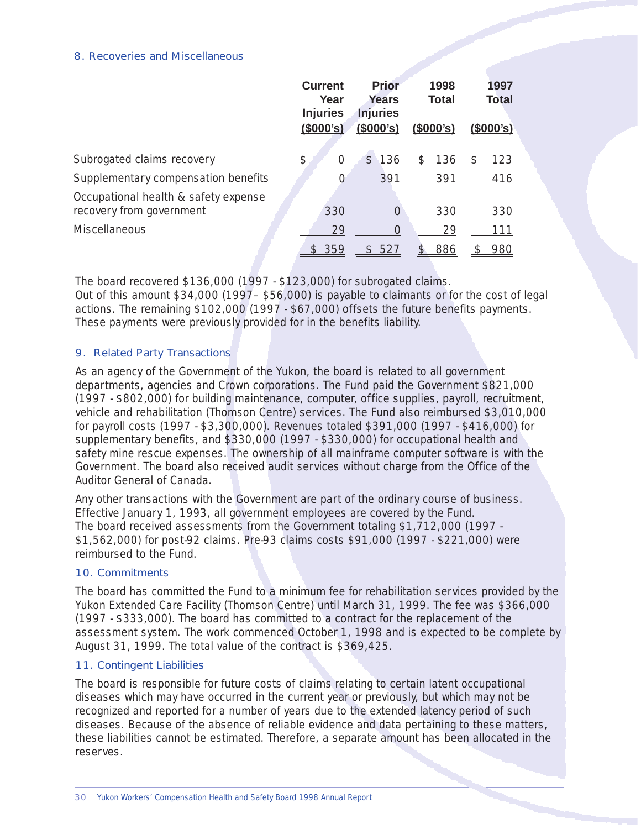#### 8. Recoveries and Miscellaneous

|                                                                  | <b>Current</b><br>Year<br><b>Injuries</b> | <b>Prior</b><br><b>Years</b><br><b>Injuries</b> | 1998<br><b>Total</b> | 1997<br><b>Total</b> |
|------------------------------------------------------------------|-------------------------------------------|-------------------------------------------------|----------------------|----------------------|
|                                                                  | (\$000's)                                 | (\$000's)                                       | (\$000's)            | $($ \$000's)         |
| Subrogated claims recovery                                       | \$<br>$\Omega$                            | 136<br>$\mathcal{S}$                            | 136<br>\$            | 123<br>S             |
| Supplementary compensation benefits                              | $\Omega$                                  | 391                                             | 391                  | 416                  |
| Occupational health & safety expense<br>recovery from government | 330                                       | $\Omega$                                        | 330                  | 330                  |
| <b>Miscellaneous</b>                                             | 29                                        | $\Omega$                                        | 29                   | 111                  |
|                                                                  | 359                                       | 527<br>S                                        | 886                  | 980                  |

The board recovered \$136,000 (1997 - \$123,000) for subrogated claims. Out of this amount \$34,000 (1997– \$56,000) is payable to claimants or for the cost of legal actions. The remaining \$102,000 (1997 - \$67,000) offsets the future benefits payments. These payments were previously provided for in the benefits liability.

#### 9. Related Party Transactions

As an agency of the Government of the Yukon, the board is related to all government departments, agencies and Crown corporations. The Fund paid the Government \$821,000 (1997 - \$802,000) for building maintenance, computer, office supplies, payroll, recruitment, vehicle and rehabilitation (Thomson Centre) services. The Fund also reimbursed \$3,010,000 for payroll costs (1997 - \$3,300,000). Revenues totaled \$391,000 (1997 - \$416,000) for supplementary benefits, and \$330,000 (1997 - \$330,000) for occupational health and safety mine rescue expenses. The ownership of all mainframe computer software is with the Government. The board also received audit services without charge from the Office of the Auditor General of Canada.

Any other transactions with the Government are part of the ordinary course of business. Effective January 1, 1993, all government employees are covered by the Fund. The board received assessments from the Government totaling \$1,712,000 (1997 \$1,562,000) for post-92 claims. Pre-93 claims costs \$91,000 (1997 - \$221,000) were reimbursed to the Fund.

#### 10. Commitments

The board has committed the Fund to a minimum fee for rehabilitation services provided by the Yukon Extended Care Facility (Thomson Centre) until March 31, 1999. The fee was \$366,000 (1997 - \$333,000). The board has committed to a contract for the replacement of the assessment system. The work commenced October 1, 1998 and is expected to be complete by August 31, 1999. The total value of the contract is \$369,425.

#### 11. Contingent Liabilities

The board is responsible for future costs of claims relating to certain latent occupational diseases which may have occurred in the current year or previously, but which may not be recognized and reported for a number of years due to the extended latency period of such diseases. Because of the absence of reliable evidence and data pertaining to these matters, these liabilities cannot be estimated. Therefore, a separate amount has been allocated in the reserves.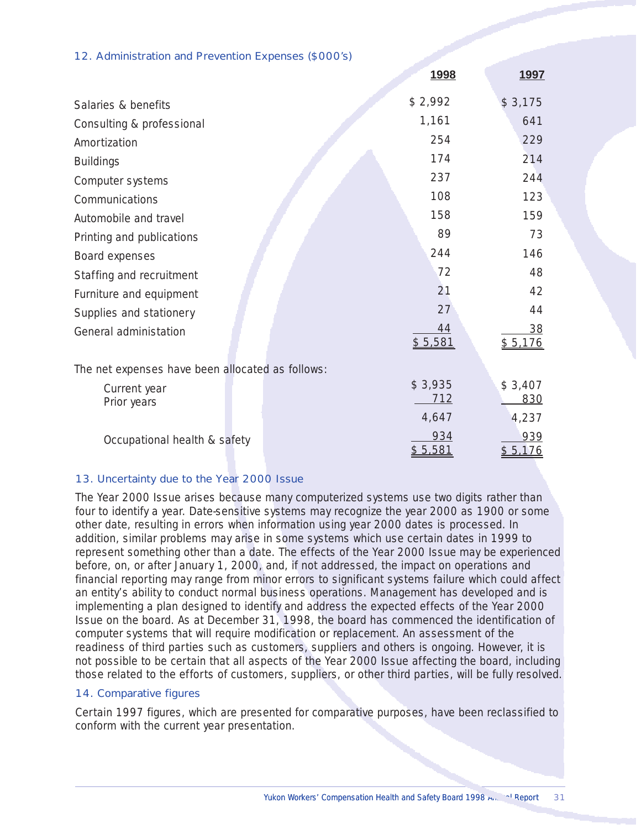#### 12. Administration and Prevention Expenses (\$000's)

|                                                  | <u>1998</u>    | <u>1997</u>    |
|--------------------------------------------------|----------------|----------------|
| Salaries & benefits                              | \$2,992        | \$3,175        |
| Consulting & professional                        | 1,161          | 641            |
| Amortization                                     | 254            | 229            |
| <b>Buildings</b>                                 | 174            | 214            |
| Computer systems                                 | 237            | 244            |
| Communications                                   | 108            | 123            |
| Automobile and travel                            | 158            | 159            |
| Printing and publications                        | 89             | 73             |
| Board expenses                                   | 244            | 146            |
| Staffing and recruitment                         | 72             | 48             |
| Furniture and equipment                          | 21             | 42             |
| Supplies and stationery                          | 27             | 44             |
| General administation                            | 44<br>\$5,581  | 38<br>\$5,176  |
| The net expenses have been allocated as follows: |                |                |
| Current year<br>Prior years                      | \$3,935<br>712 | \$3,407<br>830 |
|                                                  | 4,647          | 4,237          |
| Occupational health & safety                     | 934<br>\$5,581 | 939<br>\$5,176 |

#### 13. Uncertainty due to the Year 2000 Issue

The Year 2000 Issue arises because many computerized systems use two digits rather than four to identify a year. Date-sensitive systems may recognize the year 2000 as 1900 or some other date, resulting in errors when information using year 2000 dates is processed. In addition, similar problems may arise in some systems which use certain dates in 1999 to represent something other than a date. The effects of the Year 2000 Issue may be experienced before, on, or after January 1, 2000, and, if not addressed, the impact on operations and financial reporting may range from minor errors to significant systems failure which could affect an entity's ability to conduct normal business operations. Management has developed and is implementing a plan designed to identify and address the expected effects of the Year 2000 Issue on the board. As at December 31, 1998, the board has commenced the identification of computer systems that will require modification or replacement. An assessment of the readiness of third parties such as customers, suppliers and others is ongoing. However, it is not possible to be certain that all aspects of the Year 2000 Issue affecting the board, including those related to the efforts of customers, suppliers, or other third parties, will be fully resolved.

#### 14. Comparative figures

Certain 1997 figures, which are presented for comparative purposes, have been reclassified to conform with the current year presentation.